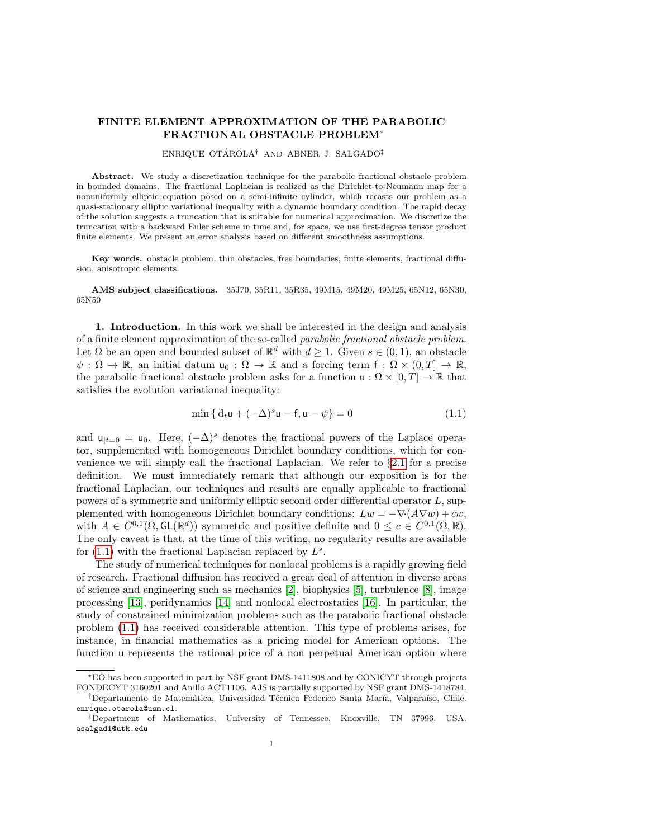# FINITE ELEMENT APPROXIMATION OF THE PARABOLIC FRACTIONAL OBSTACLE PROBLEM<sup>∗</sup>

#### ENRIQUE OTÁROLA<sup>†</sup> AND ABNER J. SALGADO<sup>‡</sup>

Abstract. We study a discretization technique for the parabolic fractional obstacle problem in bounded domains. The fractional Laplacian is realized as the Dirichlet-to-Neumann map for a nonuniformly elliptic equation posed on a semi-infinite cylinder, which recasts our problem as a quasi-stationary elliptic variational inequality with a dynamic boundary condition. The rapid decay of the solution suggests a truncation that is suitable for numerical approximation. We discretize the truncation with a backward Euler scheme in time and, for space, we use first-degree tensor product finite elements. We present an error analysis based on different smoothness assumptions.

Key words. obstacle problem, thin obstacles, free boundaries, finite elements, fractional diffusion, anisotropic elements.

AMS subject classifications. 35J70, 35R11, 35R35, 49M15, 49M20, 49M25, 65N12, 65N30, 65N50

1. Introduction. In this work we shall be interested in the design and analysis of a finite element approximation of the so-called parabolic fractional obstacle problem. Let  $\Omega$  be an open and bounded subset of  $\mathbb{R}^d$  with  $d \geq 1$ . Given  $s \in (0,1)$ , an obstacle  $\psi : \Omega \to \mathbb{R}$ , an initial datum  $u_0 : \Omega \to \mathbb{R}$  and a forcing term  $f : \Omega \times (0,T] \to \mathbb{R}$ , the parabolic fractional obstacle problem asks for a function  $u : \Omega \times [0, T] \to \mathbb{R}$  that satisfies the evolution variational inequality:

<span id="page-0-0"></span>
$$
\min\{d_t u + (-\Delta)^s u - f, u - \psi\} = 0
$$
\n(1.1)

and  $u_{t=0} = u_0$ . Here,  $(-\Delta)^s$  denotes the fractional powers of the Laplace operator, supplemented with homogeneous Dirichlet boundary conditions, which for convenience we will simply call the fractional Laplacian. We refer to §[2.1](#page-2-0) for a precise definition. We must immediately remark that although our exposition is for the fractional Laplacian, our techniques and results are equally applicable to fractional powers of a symmetric and uniformly elliptic second order differential operator L, supplemented with homogeneous Dirichlet boundary conditions:  $Lw = -\nabla \cdot (A \nabla w) + cw$ , with  $A \in C^{0,1}(\bar{\Omega}, \mathsf{GL}(\mathbb{R}^d))$  symmetric and positive definite and  $0 \leq c \in C^{0,1}(\bar{\Omega}, \mathbb{R})$ . The only caveat is that, at the time of this writing, no regularity results are available for  $(1.1)$  with the fractional Laplacian replaced by  $L^s$ .

The study of numerical techniques for nonlocal problems is a rapidly growing field of research. Fractional diffusion has received a great deal of attention in diverse areas of science and engineering such as mechanics [\[2\]](#page-19-0), biophysics [\[5\]](#page-19-1), turbulence [\[8\]](#page-19-2), image processing [\[13\]](#page-19-3), peridynamics [\[14\]](#page-19-4) and nonlocal electrostatics [\[16\]](#page-19-5). In particular, the study of constrained minimization problems such as the parabolic fractional obstacle problem [\(1.1\)](#page-0-0) has received considerable attention. This type of problems arises, for instance, in financial mathematics as a pricing model for American options. The function u represents the rational price of a non perpetual American option where

<sup>∗</sup>EO has been supported in part by NSF grant DMS-1411808 and by CONICYT through projects FONDECYT 3160201 and Anillo ACT1106. AJS is partially supported by NSF grant DMS-1418784.

<sup>&</sup>lt;sup>†</sup>Departamento de Matemática, Universidad Técnica Federico Santa María, Valparaíso, Chile. enrique.otarola@usm.cl.

<sup>‡</sup>Department of Mathematics, University of Tennessee, Knoxville, TN 37996, USA. asalgad1@utk.edu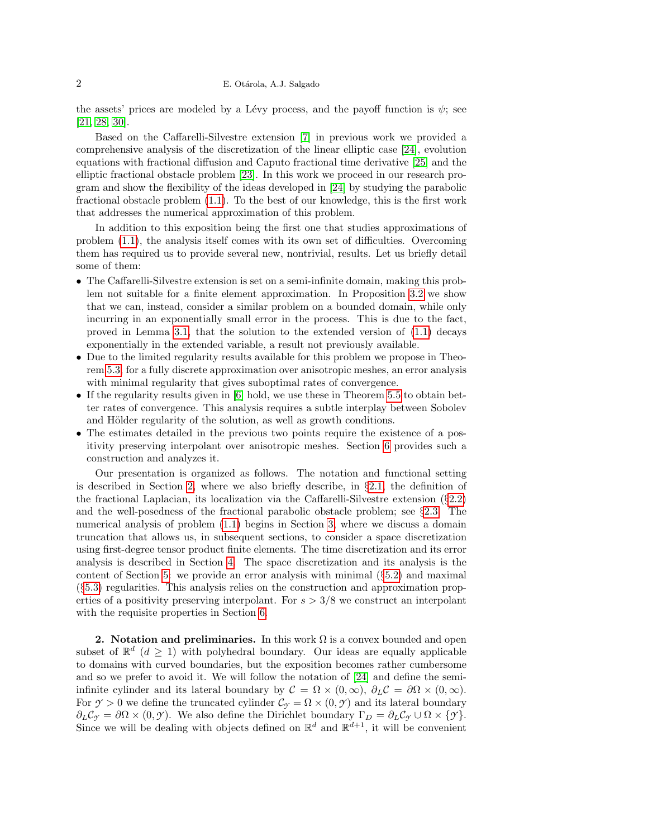the assets' prices are modeled by a Lévy process, and the payoff function is  $\psi$ ; see [\[21,](#page-20-0) [28,](#page-20-1) [30\]](#page-20-2).

Based on the Caffarelli-Silvestre extension [\[7\]](#page-19-6) in previous work we provided a comprehensive analysis of the discretization of the linear elliptic case [\[24\]](#page-20-3), evolution equations with fractional diffusion and Caputo fractional time derivative [\[25\]](#page-20-4) and the elliptic fractional obstacle problem [\[23\]](#page-20-5). In this work we proceed in our research program and show the flexibility of the ideas developed in [\[24\]](#page-20-3) by studying the parabolic fractional obstacle problem [\(1.1\)](#page-0-0). To the best of our knowledge, this is the first work that addresses the numerical approximation of this problem.

In addition to this exposition being the first one that studies approximations of problem [\(1.1\)](#page-0-0), the analysis itself comes with its own set of difficulties. Overcoming them has required us to provide several new, nontrivial, results. Let us briefly detail some of them:

- The Caffarelli-Silvestre extension is set on a semi-infinite domain, making this problem not suitable for a finite element approximation. In Proposition [3.2](#page-6-0) we show that we can, instead, consider a similar problem on a bounded domain, while only incurring in an exponentially small error in the process. This is due to the fact, proved in Lemma [3.1,](#page-5-0) that the solution to the extended version of [\(1.1\)](#page-0-0) decays exponentially in the extended variable, a result not previously available.
- Due to the limited regularity results available for this problem we propose in Theorem [5.3,](#page-11-0) for a fully discrete approximation over anisotropic meshes, an error analysis with minimal regularity that gives suboptimal rates of convergence.
- If the regularity results given in [\[6\]](#page-19-7) hold, we use these in Theorem [5.5](#page-12-0) to obtain better rates of convergence. This analysis requires a subtle interplay between Sobolev and Hölder regularity of the solution, as well as growth conditions.
- The estimates detailed in the previous two points require the existence of a positivity preserving interpolant over anisotropic meshes. Section [6](#page-14-0) provides such a construction and analyzes it.

Our presentation is organized as follows. The notation and functional setting is described in Section [2,](#page-1-0) where we also briefly describe, in  $\S2.1$ , the definition of the fractional Laplacian, its localization via the Caffarelli-Silvestre extension  $(\S2.2)$  $(\S2.2)$ and the well-posedness of the fractional parabolic obstacle problem; see  $\S 2.3$ . The numerical analysis of problem [\(1.1\)](#page-0-0) begins in Section [3,](#page-5-1) where we discuss a domain truncation that allows us, in subsequent sections, to consider a space discretization using first-degree tensor product finite elements. The time discretization and its error analysis is described in Section [4.](#page-7-0) The space discretization and its analysis is the content of Section [5:](#page-8-0) we provide an error analysis with minimal (§[5.2\)](#page-11-1) and maximal (§[5.3\)](#page-12-1) regularities. This analysis relies on the construction and approximation properties of a positivity preserving interpolant. For  $s > 3/8$  we construct an interpolant with the requisite properties in Section [6.](#page-14-0)

<span id="page-1-0"></span>2. Notation and preliminaries. In this work  $\Omega$  is a convex bounded and open subset of  $\mathbb{R}^d$  ( $d \geq 1$ ) with polyhedral boundary. Our ideas are equally applicable to domains with curved boundaries, but the exposition becomes rather cumbersome and so we prefer to avoid it. We will follow the notation of [\[24\]](#page-20-3) and define the semiinfinite cylinder and its lateral boundary by  $\mathcal{C} = \Omega \times (0,\infty)$ ,  $\partial_L \mathcal{C} = \partial \Omega \times (0,\infty)$ . For  $\gamma > 0$  we define the truncated cylinder  $\mathcal{C}_{\gamma} = \Omega \times (0, \gamma)$  and its lateral boundary  $\partial_L C_{\mathcal{Y}} = \partial \Omega \times (0, \mathcal{Y})$ . We also define the Dirichlet boundary  $\Gamma_D = \partial_L C_{\mathcal{Y}} \cup \Omega \times \{\mathcal{Y}\}.$ Since we will be dealing with objects defined on  $\mathbb{R}^d$  and  $\mathbb{R}^{d+1}$ , it will be convenient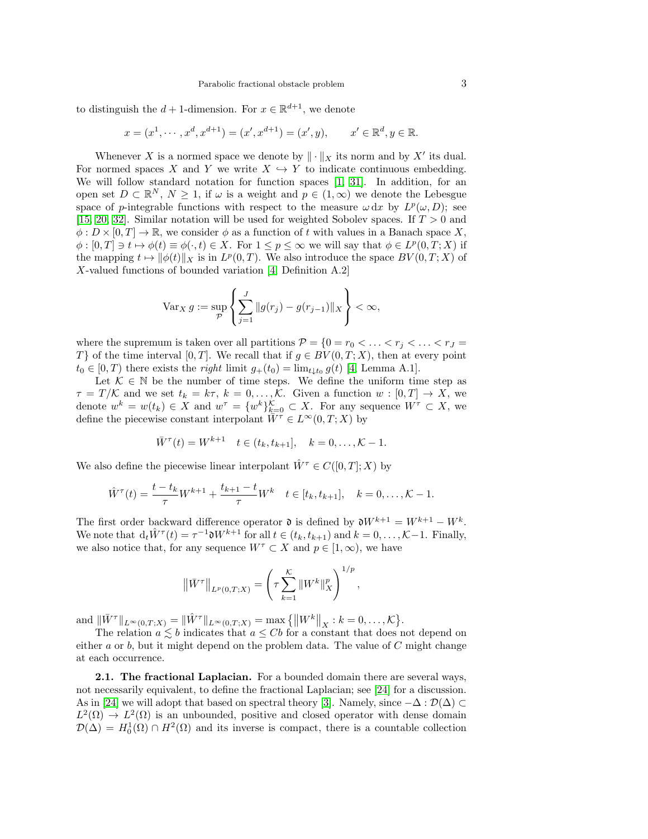to distinguish the  $d+1$ -dimension. For  $x \in \mathbb{R}^{d+1}$ , we denote

$$
x = (x^1, \dots, x^d, x^{d+1}) = (x', x^{d+1}) = (x', y), \qquad x' \in \mathbb{R}^d, y \in \mathbb{R}.
$$

Whenever X is a normed space we denote by  $\|\cdot\|_X$  its norm and by X' its dual. For normed spaces X and Y we write  $X \hookrightarrow Y$  to indicate continuous embedding. We will follow standard notation for function spaces [\[1,](#page-19-8) [31\]](#page-20-6). In addition, for an open set  $D \subset \mathbb{R}^N$ ,  $N \geq 1$ , if  $\omega$  is a weight and  $p \in (1,\infty)$  we denote the Lebesgue space of p-integrable functions with respect to the measure  $\omega dx$  by  $L^p(\omega, D)$ ; see [\[15,](#page-19-9) [20,](#page-19-10) [32\]](#page-20-7). Similar notation will be used for weighted Sobolev spaces. If  $T > 0$  and  $\phi: D \times [0, T] \to \mathbb{R}$ , we consider  $\phi$  as a function of t with values in a Banach space X,  $\phi : [0, T] \ni t \mapsto \phi(t) \equiv \phi(\cdot, t) \in X$ . For  $1 \leq p \leq \infty$  we will say that  $\phi \in L^p(0, T; X)$  if the mapping  $t \mapsto ||\phi(t)||_X$  is in  $L^p(0,T)$ . We also introduce the space  $BV(0,T;X)$  of X-valued functions of bounded variation [\[4,](#page-19-11) Definition A.2]

$$
\text{Var}_X g := \sup_{\mathcal{P}} \left\{ \sum_{j=1}^J \|g(r_j) - g(r_{j-1})\|_X \right\} < \infty,
$$

where the supremum is taken over all partitions  $\mathcal{P} = \{0 = r_0 < \ldots < r_j < \ldots < r_J =$ T} of the time interval [0, T]. We recall that if  $g \in BV(0,T;X)$ , then at every point  $t_0 \in [0, T)$  there exists the *right* limit  $g_+(t_0) = \lim_{t \downarrow t_0} g(t)$  [\[4,](#page-19-11) Lemma A.1].

Let  $\mathcal{K} \in \mathbb{N}$  be the number of time steps. We define the uniform time step as  $\tau = T/K$  and we set  $t_k = k\tau$ ,  $k = 0, \ldots, K$ . Given a function  $w : [0, T] \to X$ , we denote  $w^k = w(t_k) \in X$  and  $w^{\tau} = \{w^k\}_{k=0}^{\mathcal{K}} \subset X$ . For any sequence  $W^{\tau} \subset X$ , we define the piecewise constant interpolant  $\overline{W}^{\tau} \in L^{\infty}(0,T;X)$  by

$$
\bar{W}^{\tau}(t) = W^{k+1} \quad t \in (t_k, t_{k+1}], \quad k = 0, \dots, \mathcal{K} - 1.
$$

We also define the piecewise linear interpolant  $\hat{W}^{\tau} \in C([0,T];X)$  by

$$
\hat{W}^{\tau}(t) = \frac{t - t_k}{\tau} W^{k+1} + \frac{t_{k+1} - t}{\tau} W^k \quad t \in [t_k, t_{k+1}], \quad k = 0, \dots, \mathcal{K} - 1.
$$

The first order backward difference operator  $\mathfrak d$  is defined by  $\mathfrak dW^{k+1} = W^{k+1} - W^k$ . We note that  $d_t \hat{W}^{\tau}(t) = \tau^{-1} \mathfrak{d} W^{k+1}$  for all  $t \in (t_k, t_{k+1})$  and  $k = 0, \ldots, \mathcal{K} - 1$ . Finally, we also notice that, for any sequence  $W^{\tau} \subset X$  and  $p \in [1, \infty)$ , we have

$$
\left\| \bar{W}^{\tau} \right\|_{L^{p}(0,T;X)} = \left( \tau \sum_{k=1}^{K} \left\| W^{k} \right\|_{X}^{p} \right)^{1/p},
$$

and  $||\bar{W}^{\tau}||_{L^{\infty}(0,T;X)} = ||\hat{W}^{\tau}||_{L^{\infty}(0,T;X)} = \max \{||W^k||_X : k = 0, \ldots, \mathcal{K}\}.$ 

The relation  $a \leq b$  indicates that  $a \leq Cb$  for a constant that does not depend on either  $a$  or  $b$ , but it might depend on the problem data. The value of  $C$  might change at each occurrence.

<span id="page-2-0"></span>2.1. The fractional Laplacian. For a bounded domain there are several ways, not necessarily equivalent, to define the fractional Laplacian; see [\[24\]](#page-20-3) for a discussion. As in [\[24\]](#page-20-3) we will adopt that based on spectral theory [\[3\]](#page-19-12). Namely, since  $-\Delta : \mathcal{D}(\Delta) \subset$  $L^2(\Omega) \to L^2(\Omega)$  is an unbounded, positive and closed operator with dense domain  $\mathcal{D}(\Delta) = H_0^1(\Omega) \cap H^2(\Omega)$  and its inverse is compact, there is a countable collection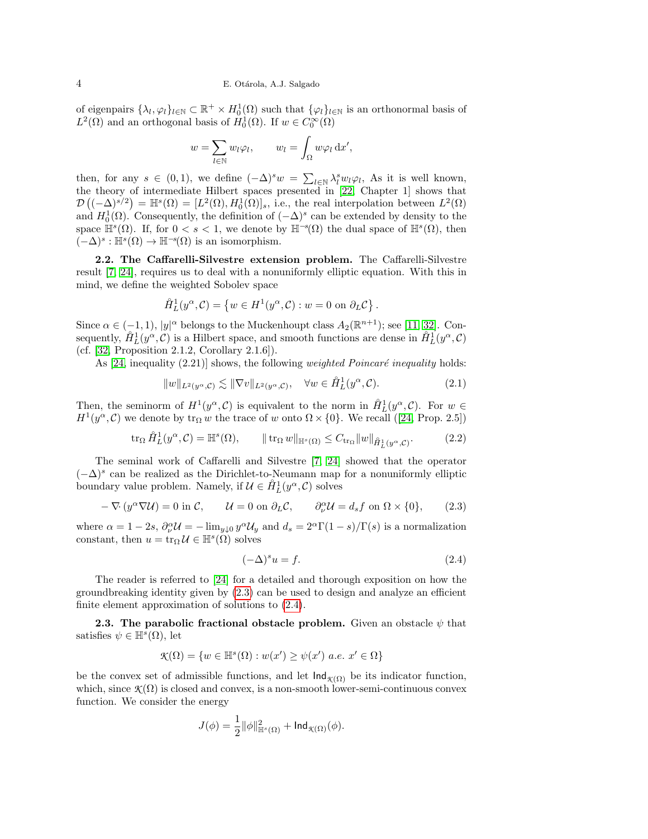of eigenpairs  $\{\lambda_l, \varphi_l\}_{l \in \mathbb{N}} \subset \mathbb{R}^+ \times H_0^1(\Omega)$  such that  $\{\varphi_l\}_{l \in \mathbb{N}}$  is an orthonormal basis of  $L^2(\Omega)$  and an orthogonal basis of  $H_0^1(\Omega)$ . If  $w \in C_0^{\infty}(\Omega)$ 

$$
w = \sum_{l \in \mathbb{N}} w_l \varphi_l, \qquad w_l = \int_{\Omega} w \varphi_l \, \mathrm{d}x',
$$

then, for any  $s \in (0,1)$ , we define  $(-\Delta)^s w = \sum_{l \in \mathbb{N}} \lambda_l^s w_l \varphi_l$ , As it is well known, the theory of intermediate Hilbert spaces presented in [\[22,](#page-20-8) Chapter 1] shows that  $\mathcal{D}((-\Delta)^{s/2}) = \mathbb{H}^s(\Omega) = [L^2(\Omega), H_0^1(\Omega)]_s$ , i.e., the real interpolation between  $L^2(\Omega)$ and  $H_0^1(\Omega)$ . Consequently, the definition of  $(-\Delta)^s$  can be extended by density to the space  $\mathbb{H}^s(\Omega)$ . If, for  $0 < s < 1$ , we denote by  $\mathbb{H}^{-s}(\Omega)$  the dual space of  $\mathbb{H}^s(\Omega)$ , then  $(-\Delta)^s : \mathbb{H}^s(\Omega) \to \mathbb{H}^{-s}(\Omega)$  is an isomorphism.

<span id="page-3-0"></span>2.2. The Caffarelli-Silvestre extension problem. The Caffarelli-Silvestre result [\[7,](#page-19-6) [24\]](#page-20-3), requires us to deal with a nonuniformly elliptic equation. With this in mind, we define the weighted Sobolev space

$$
\hat{H}_L^1(y^\alpha, C) = \{ w \in H^1(y^\alpha, C) : w = 0 \text{ on } \partial_L C \}.
$$

Since  $\alpha \in (-1,1)$ ,  $|y|^{\alpha}$  belongs to the Muckenhoupt class  $A_2(\mathbb{R}^{n+1})$ ; see [\[11,](#page-19-13) [32\]](#page-20-7). Consequently,  $\hat{H}_L^1(y^\alpha, \mathcal{C})$  is a Hilbert space, and smooth functions are dense in  $\hat{H}_L^1(y^\alpha, \mathcal{C})$ (cf. [\[32,](#page-20-7) Proposition 2.1.2, Corollary 2.1.6]).

As  $[24, \text{inequality } (2.21)]$  shows, the following *weighted Poincaré inequality* holds:

<span id="page-3-5"></span>
$$
||w||_{L^2(y^{\alpha}, \mathcal{C})} \lesssim ||\nabla v||_{L^2(y^{\alpha}, \mathcal{C})}, \quad \forall w \in \mathring{H}_L^1(y^{\alpha}, \mathcal{C}).
$$
\n(2.1)

Then, the seminorm of  $H^1(y^{\alpha}, \mathcal{C})$  is equivalent to the norm in  $\hat{H}_L^1(y^{\alpha}, \mathcal{C})$ . For  $w \in$  $H^1(y^\alpha, \mathcal{C})$  $H^1(y^\alpha, \mathcal{C})$  $H^1(y^\alpha, \mathcal{C})$  we denote by  $\text{tr}_\Omega w$  the trace of w onto  $\Omega \times \{0\}$ . We recall ([\[24,](#page-20-3) Prop. 2.5])

<span id="page-3-4"></span>
$$
\operatorname{tr}_{\Omega} \mathring{H}_L^1(y^{\alpha}, \mathcal{C}) = \mathbb{H}^s(\Omega), \qquad \|\operatorname{tr}_{\Omega} w\|_{\mathbb{H}^s(\Omega)} \le C_{\operatorname{tr}_{\Omega}} \|w\|_{\mathring{H}_L^1(y^{\alpha}, \mathcal{C})}. \tag{2.2}
$$

The seminal work of Caffarelli and Silvestre [\[7,](#page-19-6) [24\]](#page-20-3) showed that the operator  $(-\Delta)$ <sup>s</sup> can be realized as the Dirichlet-to-Neumann map for a nonuniformly elliptic boundary value problem. Namely, if  $\mathcal{U} \in \hat{H}^1_L(y^\alpha, \mathcal{C})$  solves

<span id="page-3-2"></span>
$$
-\nabla (y^{\alpha}\nabla \mathcal{U}) = 0 \text{ in } \mathcal{C}, \qquad \mathcal{U} = 0 \text{ on } \partial_L \mathcal{C}, \qquad \partial_{\nu}^{\alpha} \mathcal{U} = d_s f \text{ on } \Omega \times \{0\}, \tag{2.3}
$$

where  $\alpha = 1 - 2s$ ,  $\partial_{\nu}^{\alpha} \mathcal{U} = -\lim_{y \downarrow 0} y^{\alpha} \mathcal{U}_y$  and  $d_s = 2^{\alpha} \Gamma(1 - s) / \Gamma(s)$  is a normalization constant, then  $u = \text{tr}_{\Omega} \mathcal{U} \in \mathbb{H}^{s}(\Omega)$  solves

<span id="page-3-3"></span>
$$
(-\Delta)^s u = f. \tag{2.4}
$$

The reader is referred to [\[24\]](#page-20-3) for a detailed and thorough exposition on how the groundbreaking identity given by [\(2.3\)](#page-3-2) can be used to design and analyze an efficient finite element approximation of solutions to [\(2.4\)](#page-3-3).

<span id="page-3-1"></span>**2.3.** The parabolic fractional obstacle problem. Given an obstacle  $\psi$  that satisfies  $\psi \in \mathbb{H}^s(\Omega)$ , let

$$
\mathcal{K}(\Omega) = \{ w \in \mathbb{H}^s(\Omega) : w(x') \ge \psi(x') \ a.e. \ x' \in \Omega \}
$$

be the convex set of admissible functions, and let  $\text{Ind}_{\mathcal{K}(\Omega)}$  be its indicator function, which, since  $\mathcal{K}(\Omega)$  is closed and convex, is a non-smooth lower-semi-continuous convex function. We consider the energy

$$
J(\phi)=\frac{1}{2}\|\phi\|^2_{\mathbb{H}^s(\Omega)}+\mathsf{Ind}_{\mathcal{K}(\Omega)}(\phi).
$$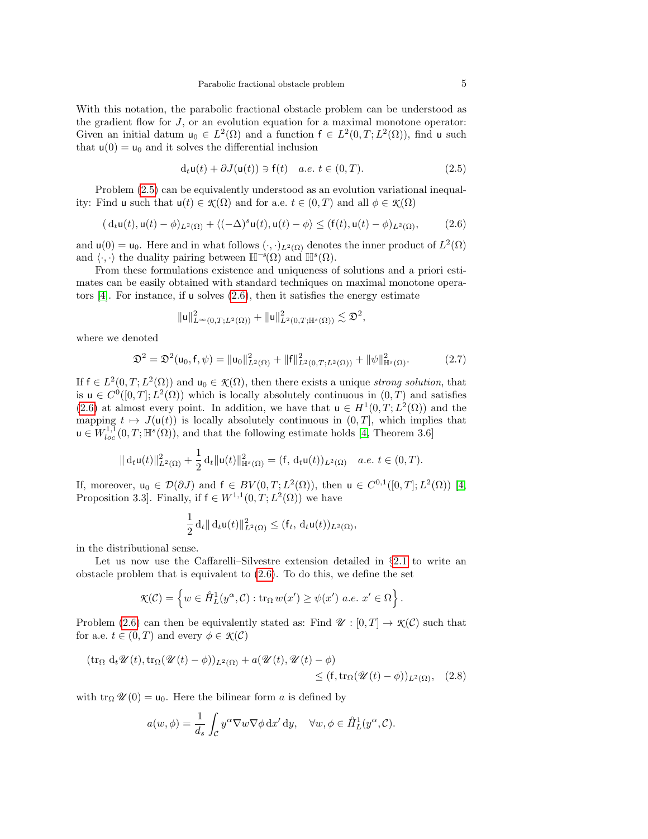With this notation, the parabolic fractional obstacle problem can be understood as the gradient flow for  $J$ , or an evolution equation for a maximal monotone operator: Given an initial datum  $u_0 \in L^2(\Omega)$  and a function  $f \in L^2(0,T;L^2(\Omega))$ , find u such that  $u(0) = u_0$  and it solves the differential inclusion

<span id="page-4-0"></span>
$$
d_t u(t) + \partial J(u(t)) \ni f(t) \quad a.e. \ t \in (0, T). \tag{2.5}
$$

Problem [\(2.5\)](#page-4-0) can be equivalently understood as an evolution variational inequality: Find u such that  $u(t) \in \mathcal{K}(\Omega)$  and for a.e.  $t \in (0, T)$  and all  $\phi \in \mathcal{K}(\Omega)$ 

<span id="page-4-1"></span>
$$
(\mathrm{d}_t \mathsf{u}(t), \mathsf{u}(t) - \phi)_{L^2(\Omega)} + \langle (-\Delta)^s \mathsf{u}(t), \mathsf{u}(t) - \phi \rangle \le (\mathsf{f}(t), \mathsf{u}(t) - \phi)_{L^2(\Omega)},\tag{2.6}
$$

and  $\mathsf{u}(0) = \mathsf{u}_0$ . Here and in what follows  $(\cdot, \cdot)_{L^2(\Omega)}$  denotes the inner product of  $L^2(\Omega)$ and  $\langle \cdot, \cdot \rangle$  the duality pairing between  $\mathbb{H}^{-s}(\Omega)$  and  $\mathbb{H}^{s}(\Omega)$ .

From these formulations existence and uniqueness of solutions and a priori estimates can be easily obtained with standard techniques on maximal monotone operators  $[4]$ . For instance, if u solves  $(2.6)$ , then it satisfies the energy estimate

$$
\|u\|_{L^{\infty}(0,T;L^2(\Omega))}^2+\|u\|_{L^2(0,T;\mathbb{H}^s(\Omega))}^2\lesssim \mathfrak{D}^2,
$$

where we denoted

<span id="page-4-3"></span>
$$
\mathfrak{D}^2 = \mathfrak{D}^2(\mathsf{u}_0, \mathsf{f}, \psi) = \|\mathsf{u}_0\|_{L^2(\Omega)}^2 + \|\mathsf{f}\|_{L^2(0,T;L^2(\Omega))}^2 + \|\psi\|_{\mathbb{H}^s(\Omega)}^2.
$$
 (2.7)

If  $f \in L^2(0,T;L^2(\Omega))$  and  $u_0 \in \mathcal{K}(\Omega)$ , then there exists a unique *strong solution*, that is  $u \in C^{0}([0, T]; L^{2}(\Omega))$  which is locally absolutely continuous in  $(0, T)$  and satisfies [\(2.6\)](#page-4-1) at almost every point. In addition, we have that  $u \in H^1(0,T; L^2(\Omega))$  and the mapping  $t \mapsto J(\mathsf{u}(t))$  is locally absolutely continuous in  $(0, T]$ , which implies that  $u \in W_{loc}^{1,1}(0,T;\mathbb{H}^s(\Omega))$ , and that the following estimate holds [\[4,](#page-19-11) Theorem 3.6]

$$
\|\,\mathrm{d}_t\mathsf{u}(t)\|^2_{L^2(\Omega)}+\frac{1}{2}\,\mathrm{d}_t\|\mathsf{u}(t)\|^2_{\mathbb{H}^s(\Omega)}=(\mathsf{f},\,\mathrm{d}_t\mathsf{u}(t))_{L^2(\Omega)}\quad a.e.\; t\in(0,T).
$$

If, moreover,  $u_0 \in \mathcal{D}(\partial J)$  and  $f \in BV(0,T; L^2(\Omega))$ , then  $u \in C^{0,1}([0,T]; L^2(\Omega))$  [\[4,](#page-19-11) Proposition 3.3. Finally, if  $f \in W^{1,1}(0,T;L^2(\Omega))$  we have

<span id="page-4-2"></span>
$$
\frac{1}{2} d_t \| d_t \mathsf{u}(t) \|_{L^2(\Omega)}^2 \leq (\mathsf{f}_t, d_t \mathsf{u}(t))_{L^2(\Omega)},
$$

in the distributional sense.

Let us now use the Caffarelli–Silvestre extension detailed in §[2.1](#page-2-0) to write an obstacle problem that is equivalent to [\(2.6\)](#page-4-1). To do this, we define the set

$$
\mathcal{K}(\mathcal{C}) = \left\{ w \in \mathring{H}_L^1(y^\alpha, \mathcal{C}) : \text{tr}_\Omega w(x') \ge \psi(x') \text{ a.e. } x' \in \Omega \right\}.
$$

Problem [\(2.6\)](#page-4-1) can then be equivalently stated as: Find  $\mathscr{U}: [0,T] \to \mathscr{K}(\mathcal{C})$  such that for a.e.  $t \in (0, T)$  and every  $\phi \in \mathcal{K}(\mathcal{C})$ 

$$
(\operatorname{tr}_{\Omega} d_t \mathscr{U}(t), \operatorname{tr}_{\Omega}(\mathscr{U}(t) - \phi))_{L^2(\Omega)} + a(\mathscr{U}(t), \mathscr{U}(t) - \phi)
$$
  
\$\leq\$ 
$$
(f, \operatorname{tr}_{\Omega}(\mathscr{U}(t) - \phi))_{L^2(\Omega)}, \quad (2.8)
$$

with tr<sub>Ω</sub>  $\mathcal{U}(0) = u_0$ . Here the bilinear form a is defined by

$$
a(w, \phi) = \frac{1}{d_s} \int_{\mathcal{C}} y^{\alpha} \nabla w \nabla \phi \,dx' \,dy, \quad \forall w, \phi \in \hat{H}_L^1(y^{\alpha}, \mathcal{C}).
$$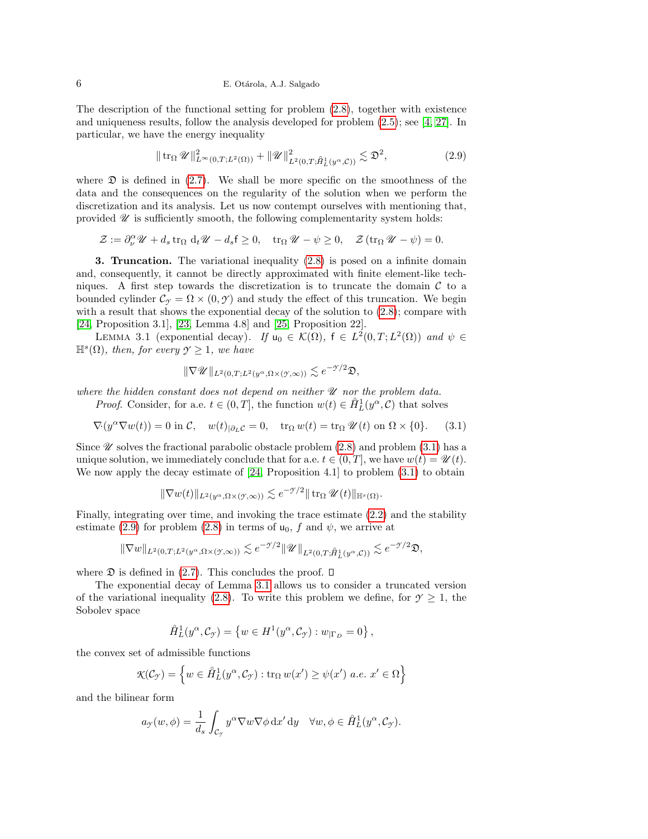## 6 E. Otárola, A.J. Salgado

The description of the functional setting for problem [\(2.8\)](#page-4-2), together with existence and uniqueness results, follow the analysis developed for problem [\(2.5\)](#page-4-0); see [\[4,](#page-19-11) [27\]](#page-20-9). In particular, we have the energy inequality

<span id="page-5-3"></span>
$$
\|\operatorname{tr}_{\Omega}\mathscr{U}\|_{L^{\infty}(0,T;L^{2}(\Omega))}^{2} + \|\mathscr{U}\|_{L^{2}(0,T;\hat{H}_{L}^{1}(y^{\alpha},\mathcal{C}))}^{2} \lesssim \mathfrak{D}^{2},\tag{2.9}
$$

where  $\mathfrak D$  is defined in [\(2.7\)](#page-4-3). We shall be more specific on the smoothness of the data and the consequences on the regularity of the solution when we perform the discretization and its analysis. Let us now contempt ourselves with mentioning that, provided  $\mathscr U$  is sufficiently smooth, the following complementarity system holds:

$$
\mathcal{Z} := \partial_{\nu}^{\alpha} \mathscr{U} + d_s \operatorname{tr}_{\Omega} d_t \mathscr{U} - d_s \mathsf{f} \ge 0, \quad \operatorname{tr}_{\Omega} \mathscr{U} - \psi \ge 0, \quad \mathcal{Z} (\operatorname{tr}_{\Omega} \mathscr{U} - \psi) = 0.
$$

<span id="page-5-1"></span>3. Truncation. The variational inequality [\(2.8\)](#page-4-2) is posed on a infinite domain and, consequently, it cannot be directly approximated with finite element-like techniques. A first step towards the discretization is to truncate the domain  $\mathcal C$  to a bounded cylinder  $\mathcal{C}_{\gamma} = \Omega \times (0, \gamma)$  and study the effect of this truncation. We begin with a result that shows the exponential decay of the solution to [\(2.8\)](#page-4-2); compare with [\[24,](#page-20-3) Proposition 3.1], [\[23,](#page-20-5) Lemma 4.8] and [\[25,](#page-20-4) Proposition 22].

<span id="page-5-0"></span>LEMMA 3.1 (exponential decay). If  $u_0 \in \mathcal{K}(\Omega)$ ,  $f \in L^2(0,T;L^2(\Omega))$  and  $\psi \in$  $\mathbb{H}^s(\Omega)$ , then, for every  $\mathcal{Y} \geq 1$ , we have

$$
\|\nabla \mathscr{U}\|_{L^2(0,T;L^2(y^\alpha,\Omega\times(\mathscr{Y},\infty))}\lesssim e^{-\mathscr{Y}/2}\mathfrak{D},
$$

where the hidden constant does not depend on neither  $\mathscr U$  nor the problem data.

*Proof.* Consider, for a.e.  $t \in (0, T]$ , the function  $w(t) \in \hat{H}_L^1(y^\alpha, \mathcal{C})$  that solves

<span id="page-5-2"></span>
$$
\nabla (y^{\alpha} \nabla w(t)) = 0 \text{ in } \mathcal{C}, \quad w(t)_{|\partial_L \mathcal{C}} = 0, \quad \text{tr}_{\Omega} w(t) = \text{tr}_{\Omega} \mathscr{U}(t) \text{ on } \Omega \times \{0\}. \tag{3.1}
$$

Since  $\mathscr U$  solves the fractional parabolic obstacle problem [\(2.8\)](#page-4-2) and problem [\(3.1\)](#page-5-2) has a unique solution, we immediately conclude that for a.e.  $t \in (0, T]$ , we have  $w(t) = \mathscr{U}(t)$ . We now apply the decay estimate of [\[24,](#page-20-3) Proposition 4.1] to problem [\(3.1\)](#page-5-2) to obtain

$$
\|\nabla w(t)\|_{L^2(y^{\alpha}, \Omega \times (\mathcal{Y}, \infty))} \lesssim e^{-\mathcal{Y}/2} \|\operatorname{tr}_{\Omega} \mathcal{U}(t)\|_{\mathbb{H}^s(\Omega)}.
$$

Finally, integrating over time, and invoking the trace estimate [\(2.2\)](#page-3-4) and the stability estimate [\(2.9\)](#page-5-3) for problem [\(2.8\)](#page-4-2) in terms of  $u_0$ , f and  $\psi$ , we arrive at

$$
\|\nabla w\|_{L^2(0,T;L^2(y^\alpha,\Omega\times(\mathcal{Y},\infty))}\lesssim e^{-\mathcal{Y}/2}\|\mathcal{U}\|_{L^2(0,T;\hat{H}_L^1(y^\alpha,\mathcal{C}))}\lesssim e^{-\mathcal{Y}/2}\mathfrak{D},
$$

where  $\mathfrak D$  is defined in [\(2.7\)](#page-4-3). This concludes the proof.  $\Box$ 

The exponential decay of Lemma [3.1](#page-5-0) allows us to consider a truncated version of the variational inequality [\(2.8\)](#page-4-2). To write this problem we define, for  $\gamma \geq 1$ , the Sobolev space

$$
\mathring{H}^1_L(y^\alpha, \mathcal{C}_{\mathcal{I}}) = \left\{ w \in H^1(y^\alpha, \mathcal{C}_{\mathcal{I}}) : w_{|\Gamma_D} = 0 \right\},\,
$$

the convex set of admissible functions

$$
\mathcal{K}(\mathcal{C}_{\mathcal{F}}) = \left\{ w \in \hat{H}_L^1(y^{\alpha}, \mathcal{C}_{\mathcal{F}}) : \text{tr}_{\Omega} w(x') \ge \psi(x') \ a.e. \ x' \in \Omega \right\}
$$

and the bilinear form

$$
a_{\mathcal{F}}(w,\phi) = \frac{1}{d_s} \int_{\mathcal{C}_{\mathcal{F}}} y^{\alpha} \nabla w \nabla \phi \,dx' \,dy \quad \forall w,\phi \in \mathring{H}_L^1(y^{\alpha}, \mathcal{C}_{\mathcal{F}}).
$$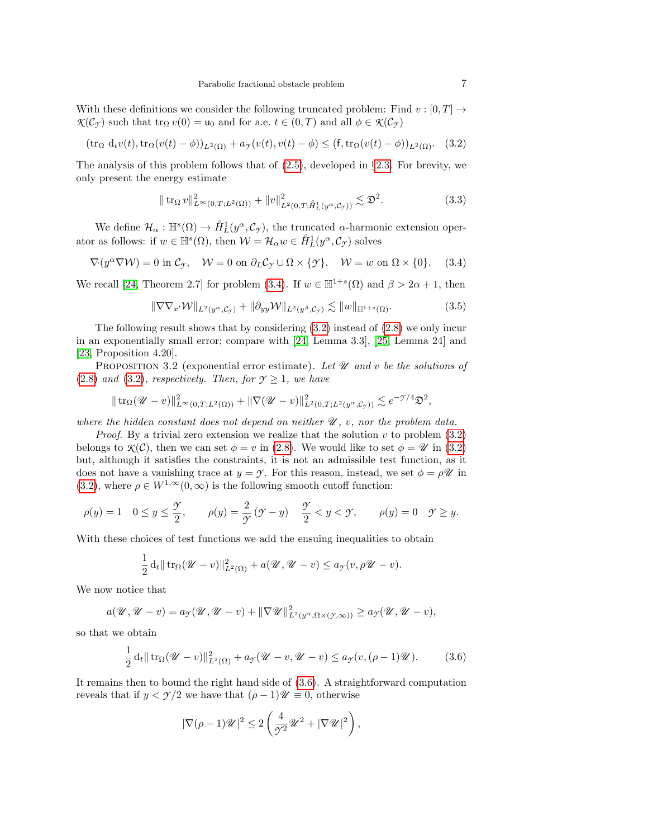With these definitions we consider the following truncated problem: Find  $v : [0, T] \rightarrow$  $\mathcal{K}(\mathcal{C}_{\gamma})$  such that  $\text{tr}_{\Omega} v(0) = u_0$  and for a.e.  $t \in (0, T)$  and all  $\phi \in \mathcal{K}(\mathcal{C}_{\gamma})$ 

<span id="page-6-2"></span>
$$
(\operatorname{tr}_{\Omega} d_t v(t), \operatorname{tr}_{\Omega} (v(t) - \phi))_{L^2(\Omega)} + a_{\mathcal{T}}(v(t), v(t) - \phi) \leq (\mathbf{f}, \operatorname{tr}_{\Omega} (v(t) - \phi))_{L^2(\Omega)}. \tag{3.2}
$$

The analysis of this problem follows that of  $(2.5)$ , developed in §[2.3.](#page-3-1) For brevity, we only present the energy estimate

<span id="page-6-4"></span>
$$
\|\operatorname{tr}_{\Omega} v\|_{L^{\infty}(0,T;L^{2}(\Omega))}^{2} + \|v\|_{L^{2}(0,T;\hat{H}_{L}^{1}(y^{\alpha},\mathcal{C}_{\mathcal{I}}))}^{2} \lesssim \mathfrak{D}^{2}.
$$
\n(3.3)

We define  $\mathcal{H}_{\alpha}: \mathbb{H}^s(\Omega) \to \mathring{H}_L^1(y^{\alpha}, \mathcal{C}_{\mathcal{I}})$ , the truncated  $\alpha$ -harmonic extension operator as follows: if  $w \in \mathbb{H}^s(\Omega)$ , then  $\mathcal{W} = \mathcal{H}_\alpha w \in \mathring{H}_L^1(y^\alpha, \mathcal{C}_{\gamma})$  solves

<span id="page-6-1"></span> $\nabla (y^{\alpha}\nabla W) = 0$  in  $\mathcal{C}_{\mathcal{I}}$ ,  $W = 0$  on  $\partial_L \mathcal{C}_{\mathcal{I}} \cup \Omega \times \{\mathcal{I}\}$ ,  $W = w$  on  $\Omega \times \{0\}$ . (3.4)

We recall [\[24,](#page-20-3) Theorem 2.7] for problem [\(3.4\)](#page-6-1). If  $w \in \mathbb{H}^{1+s}(\Omega)$  and  $\beta > 2\alpha + 1$ , then

<span id="page-6-5"></span>
$$
\|\nabla \nabla_{x'} \mathcal{W}\|_{L^2(y^{\alpha}, \mathcal{C}_{\mathcal{Y}})} + \|\partial_{yy} \mathcal{W}\|_{L^2(y^{\beta}, \mathcal{C}_{\mathcal{Y}})} \lesssim \|w\|_{\mathbb{H}^{1+s}(\Omega)}.
$$
\n(3.5)

The following result shows that by considering  $(3.2)$  instead of  $(2.8)$  we only incur in an exponentially small error; compare with [\[24,](#page-20-3) Lemma 3.3], [\[25,](#page-20-4) Lemma 24] and [\[23,](#page-20-5) Proposition 4.20].

<span id="page-6-0"></span>PROPOSITION 3.2 (exponential error estimate). Let  $\mathcal U$  and v be the solutions of [\(2.8\)](#page-4-2) and [\(3.2\)](#page-6-2), respectively. Then, for  $\gamma \geq 1$ , we have

$$
\|\operatorname{tr}_{\Omega}(\mathscr{U}-v)\|_{L^{\infty}(0,T;L^{2}(\Omega))}^{2}+\|\nabla(\mathscr{U}-v)\|_{L^{2}(0,T;L^{2}(y^{\alpha},\mathcal{C}_{\mathcal{I}}))}^{2}\lesssim e^{-\mathcal{I}/4}\mathfrak{D}^{2},
$$

where the hidden constant does not depend on neither  $\mathcal{U}, v$ , nor the problem data.

*Proof.* By a trivial zero extension we realize that the solution v to problem  $(3.2)$ belongs to  $\mathcal{K}(\mathcal{C})$ , then we can set  $\phi = v$  in [\(2.8\)](#page-4-2). We would like to set  $\phi = \mathcal{U}$  in [\(3.2\)](#page-6-2) but, although it satisfies the constraints, it is not an admissible test function, as it does not have a vanishing trace at  $y = \gamma$ . For this reason, instead, we set  $\phi = \rho \mathscr{U}$  in [\(3.2\)](#page-6-2), where  $\rho \in W^{1,\infty}(0,\infty)$  is the following smooth cutoff function:

$$
\rho(y) = 1 \quad 0 \le y \le \frac{\gamma}{2}, \qquad \rho(y) = \frac{2}{\gamma}(\gamma - y) \quad \frac{\gamma}{2} < y < \gamma, \qquad \rho(y) = 0 \quad \gamma \ge y.
$$

With these choices of test functions we add the ensuing inequalities to obtain

$$
\frac{1}{2} d_t \|\operatorname{tr}_{\Omega}(\mathscr{U}-v)\|_{L^2(\Omega)}^2 + a(\mathscr{U}, \mathscr{U}-v) \le a_{\mathscr{I}}(v, \rho\mathscr{U}-v).
$$

We now notice that

$$
a(\mathscr{U}, \mathscr{U} - v) = a_{\mathscr{I}}(\mathscr{U}, \mathscr{U} - v) + ||\nabla \mathscr{U}||_{L^2(\mathscr{Y}^{\alpha}, \Omega \times (\mathscr{Y}, \infty))}^2 \ge a_{\mathscr{I}}(\mathscr{U}, \mathscr{U} - v),
$$

so that we obtain

<span id="page-6-3"></span>
$$
\frac{1}{2} d_t \| \operatorname{tr}_{\Omega} (\mathcal{U} - v) \|_{L^2(\Omega)}^2 + a_{\mathcal{I}} (\mathcal{U} - v, \mathcal{U} - v) \le a_{\mathcal{I}} (v, (\rho - 1) \mathcal{U}). \tag{3.6}
$$

It remains then to bound the right hand side of [\(3.6\)](#page-6-3). A straightforward computation reveals that if  $y < \gamma/2$  we have that  $(\rho - 1)\mathscr{U} \equiv 0$ , otherwise

$$
|\nabla(\rho-1)\mathscr{U}|^2 \le 2\left(\frac{4}{\gamma^2}\mathscr{U}^2 + |\nabla\mathscr{U}|^2\right),\,
$$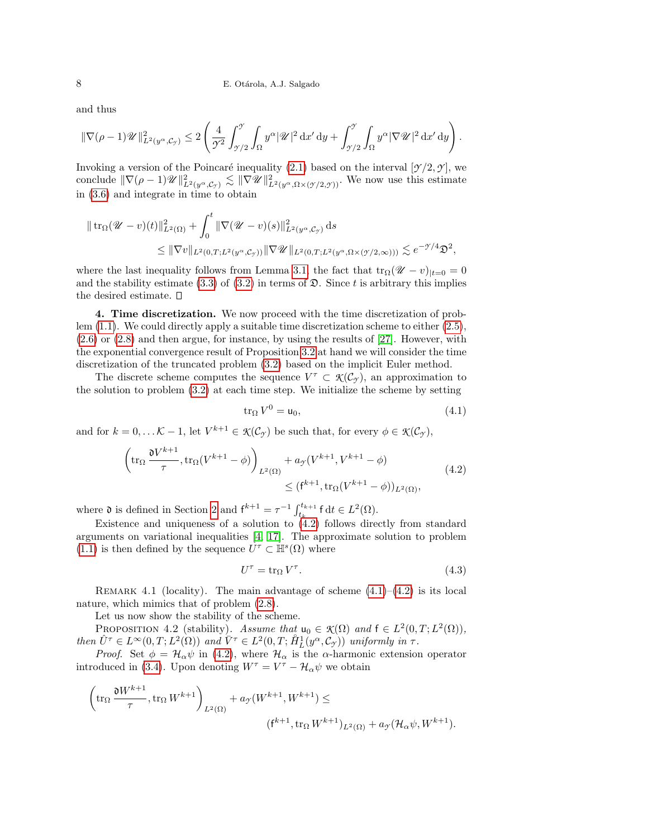and thus

$$
\|\nabla(\rho-1)\mathscr{U}\|_{L^2(y^{\alpha},\mathcal{C}_{\mathcal{I}})}^2 \leq 2\left(\frac{4}{\mathcal{I}^2}\int_{\mathcal{I}/2}^{\mathcal{I}}\int_{\Omega}y^{\alpha}|\mathscr{U}|^2\,\mathrm{d}x'\,\mathrm{d}y + \int_{\mathcal{I}/2}^{\mathcal{I}}\int_{\Omega}y^{\alpha}|\nabla\mathscr{U}|^2\,\mathrm{d}x'\,\mathrm{d}y\right).
$$

Invoking a version of the Poincaré inequality [\(2.1\)](#page-3-5) based on the interval  $[\mathcal{Y}/2, \mathcal{Y}]$ , we conclude  $\|\nabla(\rho-1)\mathscr{U}\|_{L^2(y^{\alpha},\mathcal{C}_{\mathcal{Y}})}^2 \lesssim \|\nabla \mathscr{U}\|_{L^2(y^{\alpha},\Omega \times (\mathcal{Y}/2,\mathcal{Y}))}^2$ . We now use this estimate in [\(3.6\)](#page-6-3) and integrate in time to obtain

$$
\| \operatorname{tr}_{\Omega} (\mathcal{U} - v)(t) \|_{L^2(\Omega)}^2 + \int_0^t \| \nabla (\mathcal{U} - v)(s) \|_{L^2(y^{\alpha}, \mathcal{C}_{\mathcal{I}})}^2 ds
$$
  
\$\leq \|\nabla v\|\_{L^2(0,T;L^2(y^{\alpha}, \mathcal{C}\_{\mathcal{I}}))} \|\nabla \mathcal{U}\|\_{L^2(0,T;L^2(y^{\alpha}, \Omega \times (\mathcal{I}/2, \infty)))} \lesssim e^{-\mathcal{I}/4} \mathfrak{D}^2\$,

where the last inequality follows from Lemma [3.1,](#page-5-0) the fact that  $\text{tr}_{\Omega}(\mathscr{U}-v)_{|t=0}=0$ and the stability estimate [\(3.3\)](#page-6-4) of [\(3.2\)](#page-6-2) in terms of  $\mathfrak{D}$ . Since t is arbitrary this implies the desired estimate.

<span id="page-7-0"></span>4. Time discretization. We now proceed with the time discretization of problem [\(1.1\)](#page-0-0). We could directly apply a suitable time discretization scheme to either [\(2.5\)](#page-4-0), [\(2.6\)](#page-4-1) or [\(2.8\)](#page-4-2) and then argue, for instance, by using the results of [\[27\]](#page-20-9). However, with the exponential convergence result of Proposition [3.2](#page-6-0) at hand we will consider the time discretization of the truncated problem [\(3.2\)](#page-6-2) based on the implicit Euler method.

The discrete scheme computes the sequence  $V^{\tau} \subset \mathcal{K}(\mathcal{C}_{\mathcal{I}})$ , an approximation to the solution to problem [\(3.2\)](#page-6-2) at each time step. We initialize the scheme by setting

<span id="page-7-2"></span>
$$
\operatorname{tr}_{\Omega} V^0 = \mathsf{u}_0,\tag{4.1}
$$

and for  $k = 0, \ldots \mathcal{K} - 1$ , let  $V^{k+1} \in \mathcal{K}(\mathcal{C}_{\mathcal{I}})$  be such that, for every  $\phi \in \mathcal{K}(\mathcal{C}_{\mathcal{I}})$ ,

<span id="page-7-1"></span>
$$
\left(\operatorname{tr}_{\Omega} \frac{\mathfrak{d} V^{k+1}}{\tau}, \operatorname{tr}_{\Omega} (V^{k+1} - \phi)\right)_{L^2(\Omega)} + a_{\mathcal{I}} (V^{k+1}, V^{k+1} - \phi) \leq (\mathfrak{f}^{k+1}, \operatorname{tr}_{\Omega} (V^{k+1} - \phi))_{L^2(\Omega)},
$$
\n(4.2)

where  $\mathfrak d$  is defined in Section [2](#page-1-0) and  $f^{k+1} = \tau^{-1} \int_{t_k}^{t_{k+1}} f dt \in L^2(\Omega)$ .

Existence and uniqueness of a solution to  $(4.2)$  follows directly from standard arguments on variational inequalities [\[4,](#page-19-11) [17\]](#page-19-14). The approximate solution to problem [\(1.1\)](#page-0-0) is then defined by the sequence  $\hat{U}^{\tau} \subset \mathbb{H}^{s}(\Omega)$  where

<span id="page-7-3"></span>
$$
U^{\tau} = \text{tr}_{\Omega} V^{\tau}.
$$
\n
$$
(4.3)
$$

REMARK 4.1 (locality). The main advantage of scheme  $(4.1)$ – $(4.2)$  is its local nature, which mimics that of problem [\(2.8\)](#page-4-2).

Let us now show the stability of the scheme.

<span id="page-7-4"></span>PROPOSITION 4.2 (stability). Assume that  $u_0 \in \mathcal{K}(\Omega)$  and  $f \in L^2(0,T; L^2(\Omega)),$ then  $\hat{U}^{\tau} \in L^{\infty}(0,T; L^{2}(\Omega))$  and  $\hat{V}^{\tau} \in L^{2}(0,T; \hat{H}^{1}_{L}(y^{\alpha}, \mathcal{C}_{\mathcal{I}}))$  uniformly in  $\tau$ .

*Proof.* Set  $\phi = \mathcal{H}_{\alpha}\psi$  in [\(4.2\)](#page-7-1), where  $\mathcal{H}_{\alpha}$  is the  $\alpha$ -harmonic extension operator introduced in [\(3.4\)](#page-6-1). Upon denoting  $W^{\tau} = V^{\tau} - \mathcal{H}_{\alpha} \psi$  we obtain

$$
\left(\operatorname{tr}_\Omega \frac{\mathfrak{d} W^{k+1}}{\tau}, \operatorname{tr}_\Omega W^{k+1}\right)_{L^2(\Omega)} + a_{\mathcal{T}}(W^{k+1}, W^{k+1}) \le
$$

$$
(\mathsf{f}^{k+1}, \operatorname{tr}_\Omega W^{k+1})_{L^2(\Omega)} + a_{\mathcal{T}}(\mathcal{H}_\alpha \psi, W^{k+1}).
$$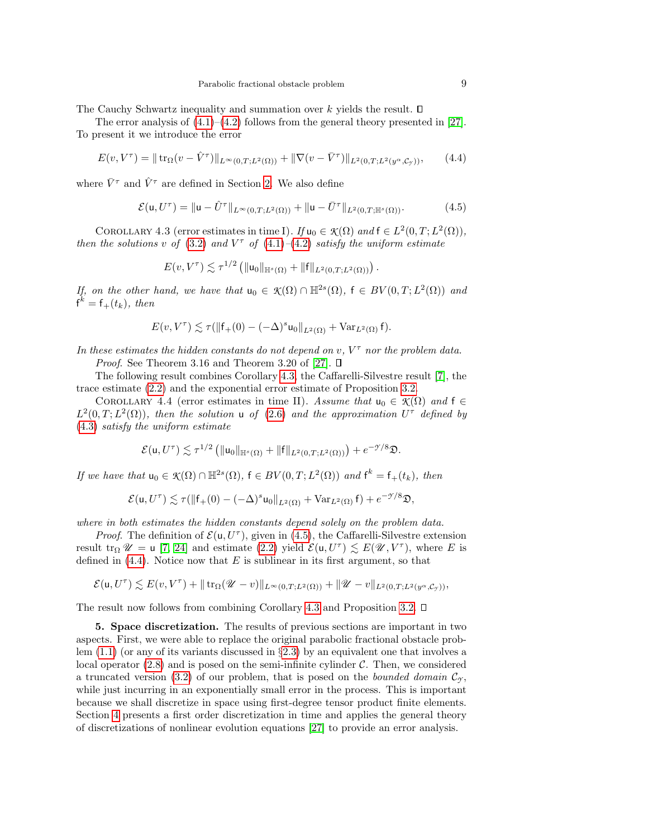The Cauchy Schwartz inequality and summation over  $k$  yields the result.  $\square$ 

The error analysis of  $(4.1)$ – $(4.2)$  follows from the general theory presented in [\[27\]](#page-20-9). To present it we introduce the error

<span id="page-8-3"></span>
$$
E(v, V^{\tau}) = || \operatorname{tr}_{\Omega}(v - \hat{V}^{\tau}) ||_{L^{\infty}(0,T;L^{2}(\Omega))} + || \nabla(v - \bar{V}^{\tau}) ||_{L^{2}(0,T;L^{2}(y^{\alpha}, \mathcal{C}_{\mathcal{Y}}))}, \qquad (4.4)
$$

where  $\bar{V}^{\tau}$  and  $\hat{V}^{\tau}$  are defined in Section [2.](#page-1-0) We also define

<span id="page-8-2"></span>
$$
\mathcal{E}(\mathbf{u}, U^{\tau}) = \|\mathbf{u} - \hat{U}^{\tau}\|_{L^{\infty}(0,T;L^{2}(\Omega))} + \|\mathbf{u} - \bar{U}^{\tau}\|_{L^{2}(0,T;\mathbb{H}^{s}(\Omega))}.
$$
(4.5)

<span id="page-8-1"></span>COROLLARY 4.3 (error estimates in time I). If  $u_0 \in \mathcal{K}(\Omega)$  and  $f \in L^2(0,T; L^2(\Omega)),$ then the solutions v of [\(3.2\)](#page-6-2) and  $V^{\tau}$  of [\(4.1\)](#page-7-2)–[\(4.2\)](#page-7-1) satisfy the uniform estimate

$$
E(v, V^{\tau}) \lesssim \tau^{1/2} \left( \| \mathsf{u}_0 \|_{\mathbb{H}^s(\Omega)} + \| \mathsf{f} \|_{L^2(0,T;L^2(\Omega))} \right).
$$

If, on the other hand, we have that  $u_0 \in \mathcal{K}(\Omega) \cap \mathbb{H}^{2s}(\Omega)$ ,  $f \in BV(0,T;L^2(\Omega))$  and  $f^k = f_+(t_k)$ , then

$$
E(v, V^{\tau}) \lesssim \tau(\|\mathsf{f}_{+}(0) - (-\Delta)^{s}\mathsf{u}_{0}\|_{L^{2}(\Omega)} + \text{Var}_{L^{2}(\Omega)}\mathsf{f}).
$$

In these estimates the hidden constants do not depend on  $v, V^{\tau}$  nor the problem data. *Proof.* See Theorem 3.16 and Theorem 3.20 of [\[27\]](#page-20-9).  $\square$ 

The following result combines Corollary [4.3,](#page-8-1) the Caffarelli-Silvestre result [\[7\]](#page-19-6), the trace estimate [\(2.2\)](#page-3-4) and the exponential error estimate of Proposition [3.2.](#page-6-0)

<span id="page-8-4"></span>COROLLARY 4.4 (error estimates in time II). Assume that  $u_0 \in \mathcal{K}(\Omega)$  and  $f \in$  $L^2(0,T;L^2(\Omega))$ , then the solution u of [\(2.6\)](#page-4-1) and the approximation  $U^{\tau}$  defined by [\(4.3\)](#page-7-3) satisfy the uniform estimate

$$
\mathcal{E}(\mathsf{u},U^\tau)\lesssim \tau^{1/2}\left(\|\mathsf{u}_0\|_{\mathbb{H}^s(\Omega)}+\|\mathsf{f}\|_{L^2(0,T;L^2(\Omega))}\right)+e^{-\mathfrak{H}/8}\mathfrak{D}.
$$

If we have that  $u_0 \in \mathcal{K}(\Omega) \cap \mathbb{H}^{2s}(\Omega)$ ,  $f \in BV(0,T; L^2(\Omega))$  and  $f^k = f_+(t_k)$ , then

$$
\mathcal{E}(\mathbf{u},U^\tau)\lesssim \tau(\| \mathbf{f}_+(0)-(-\Delta)^s \mathbf{u}_0\|_{L^2(\Omega)}+ \mathrm{Var}_{L^2(\Omega)}\,\mathbf{f})+e^{-\mathcal{T}/8}\mathfrak{D},
$$

where in both estimates the hidden constants depend solely on the problem data.

*Proof.* The definition of  $\mathcal{E}(\mathsf{u}, U^{\tau})$ , given in [\(4.5\)](#page-8-2), the Caffarelli-Silvestre extension result  $\text{tr}_{\Omega} \mathscr{U} = \text{u} [7, 24]$  $\text{tr}_{\Omega} \mathscr{U} = \text{u} [7, 24]$  $\text{tr}_{\Omega} \mathscr{U} = \text{u} [7, 24]$  and estimate  $(2.2)$  yield  $\mathcal{E}(\text{u}, U^{\tau}) \lesssim E(\mathscr{U}, V^{\tau})$ , where E is defined in  $(4.4)$ . Notice now that E is sublinear in its first argument, so that

$$
\mathcal{E}(\mathbf{u}, U^{\tau}) \lesssim E(v, V^{\tau}) + || \operatorname{tr}_{\Omega}(\mathscr{U}-v) ||_{L^{\infty}(0,T;L^{2}(\Omega))} + ||\mathscr{U}-v||_{L^{2}(0,T;L^{2}(y^{\alpha}, \mathcal{C}_{\mathcal{T}}))},
$$

The result now follows from combining Corollary [4.3](#page-8-1) and Proposition [3.2.](#page-6-0)  $\square$ 

<span id="page-8-0"></span>5. Space discretization. The results of previous sections are important in two aspects. First, we were able to replace the original parabolic fractional obstacle problem [\(1.1\)](#page-0-0) (or any of its variants discussed in §[2.3\)](#page-3-1) by an equivalent one that involves a local operator  $(2.8)$  and is posed on the semi-infinite cylinder C. Then, we considered a truncated version [\(3.2\)](#page-6-2) of our problem, that is posed on the *bounded domain*  $\mathcal{C}_{\gamma}$ , while just incurring in an exponentially small error in the process. This is important because we shall discretize in space using first-degree tensor product finite elements. Section [4](#page-7-0) presents a first order discretization in time and applies the general theory of discretizations of nonlinear evolution equations [\[27\]](#page-20-9) to provide an error analysis.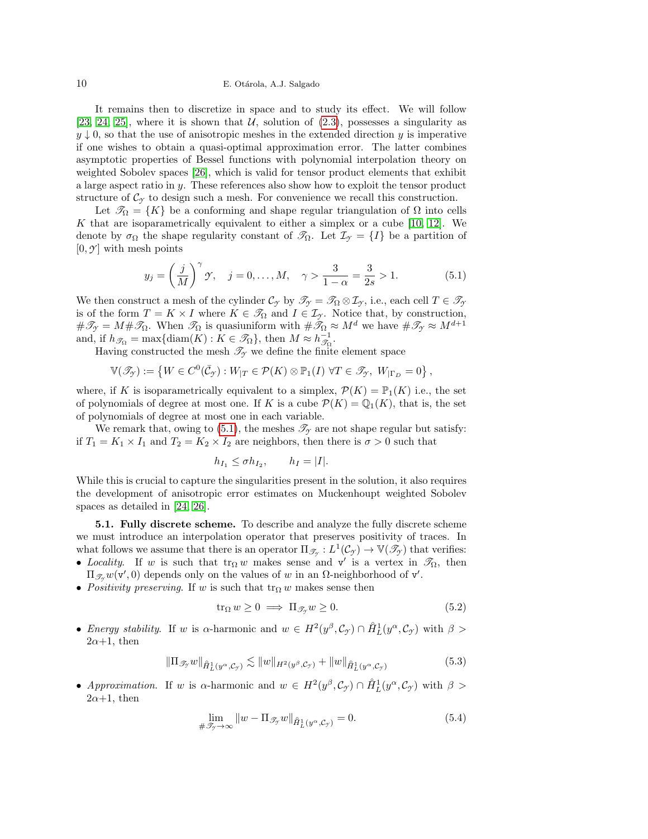## 10 E. Otárola, A.J. Salgado

It remains then to discretize in space and to study its effect. We will follow [\[23,](#page-20-5) [24,](#page-20-3) [25\]](#page-20-4), where it is shown that  $U$ , solution of [\(2.3\)](#page-3-2), possesses a singularity as  $y \downarrow 0$ , so that the use of anisotropic meshes in the extended direction y is imperative if one wishes to obtain a quasi-optimal approximation error. The latter combines asymptotic properties of Bessel functions with polynomial interpolation theory on weighted Sobolev spaces [\[26\]](#page-20-10), which is valid for tensor product elements that exhibit a large aspect ratio in y. These references also show how to exploit the tensor product structure of  $\mathcal{C}_{\gamma}$  to design such a mesh. For convenience we recall this construction.

Let  $\mathscr{T}_{\Omega} = \{K\}$  be a conforming and shape regular triangulation of  $\Omega$  into cells K that are isoparametrically equivalent to either a simplex or a cube  $[10, 12]$  $[10, 12]$ . We denote by  $\sigma_{\Omega}$  the shape regularity constant of  $\mathscr{T}_{\Omega}$ . Let  $\mathcal{I}_{\gamma} = \{I\}$  be a partition of  $[0, \mathcal{Y}]$  with mesh points

<span id="page-9-0"></span>
$$
y_j = \left(\frac{j}{M}\right)^{\gamma} \gamma, \quad j = 0, ..., M, \quad \gamma > \frac{3}{1-\alpha} = \frac{3}{2s} > 1.
$$
 (5.1)

We then construct a mesh of the cylinder  $\mathcal{C}_{\gamma}$  by  $\mathcal{I}_{\gamma} = \mathcal{I}_{\Omega} \otimes \mathcal{I}_{\gamma}$ , i.e., each cell  $T \in \mathcal{I}_{\gamma}$ is of the form  $T = K \times I$  where  $K \in \mathcal{T}_{\Omega}$  and  $I \in \mathcal{I}_{\gamma}$ . Notice that, by construction,  $\#\mathscr{T}_{\mathcal{I}} = M \#\mathscr{T}_{\Omega}$ . When  $\mathscr{T}_{\Omega}$  is quasiuniform with  $\#\mathscr{T}_{\Omega} \approx M^d$  we have  $\#\mathscr{T}_{\mathcal{I}} \approx M^{d+1}$ and, if  $h_{\mathscr{T}_{\Omega}} = \max\{\text{diam}(K) : K \in \mathscr{T}_{\Omega}\}\$ , then  $M \approx h_{\mathscr{T}_{\Omega}}^{-1}$ .

Having constructed the mesh  $\mathcal{T}_{\gamma}$  we define the finite element space

$$
\mathbb{V}(\mathscr{T}_{\mathcal{Y}}) := \left\{ W \in C^0(\bar{\mathcal{C}}_{\mathcal{Y}}) : W_{|T} \in \mathcal{P}(K) \otimes \mathbb{P}_1(I) \; \forall T \in \mathscr{T}_{\mathcal{Y}}, \; W_{|\Gamma_D} = 0 \right\},\,
$$

where, if K is isoparametrically equivalent to a simplex,  $\mathcal{P}(K) = \mathbb{P}_1(K)$  i.e., the set of polynomials of degree at most one. If K is a cube  $\mathcal{P}(K) = \mathbb{Q}_1(K)$ , that is, the set of polynomials of degree at most one in each variable.

We remark that, owing to  $(5.1)$ , the meshes  $\mathscr{T}_{\gamma}$  are not shape regular but satisfy: if  $T_1 = K_1 \times I_1$  and  $T_2 = K_2 \times I_2$  are neighbors, then there is  $\sigma > 0$  such that

$$
h_{I_1} \leq \sigma h_{I_2}, \qquad h_I = |I|.
$$

While this is crucial to capture the singularities present in the solution, it also requires the development of anisotropic error estimates on Muckenhoupt weighted Sobolev spaces as detailed in [\[24,](#page-20-3) [26\]](#page-20-10).

5.1. Fully discrete scheme. To describe and analyze the fully discrete scheme we must introduce an interpolation operator that preserves positivity of traces. In what follows we assume that there is an operator  $\Pi_{\mathscr{T}_{\mathcal{T}}}: L^1(\mathcal{C}_{\mathcal{T}}) \to \mathbb{V}(\mathscr{T}_{\mathcal{T}})$  that verifies: • Locality. If w is such that  $tr_{\Omega} w$  makes sense and v' is a vertex in  $\mathcal{T}_{\Omega}$ , then

- $\Pi_{\mathscr{T}_{\mathcal{I}}}w(\mathbf{v}',0)$  depends only on the values of w in an Ω-neighborhood of  $\mathbf{v}'$ .
- Positivity preserving. If w is such that  $\text{tr}_{\Omega} w$  makes sense then

<span id="page-9-2"></span>
$$
\operatorname{tr}_{\Omega} w \ge 0 \implies \Pi_{\mathcal{I}_{\mathcal{I}}} w \ge 0. \tag{5.2}
$$

• Energy stability. If w is  $\alpha$ -harmonic and  $w \in H^2(y^\beta, \mathcal{C}_{\mathcal{I}}) \cap \mathring{H}_L^1(y^\alpha, \mathcal{C}_{\mathcal{I}})$  with  $\beta >$  $2\alpha+1$ , then

<span id="page-9-1"></span>
$$
\|\Pi_{\mathscr{T}_{\mathcal{I}}}w\|_{\mathring{H}^1_L(y^{\alpha}, \mathcal{C}_{\mathcal{I}})} \lesssim \|w\|_{H^2(y^{\beta}, \mathcal{C}_{\mathcal{I}})} + \|w\|_{\mathring{H}^1_L(y^{\alpha}, \mathcal{C}_{\mathcal{I}})}\tag{5.3}
$$

• Approximation. If w is  $\alpha$ -harmonic and  $w \in H^2(y^\beta, \mathcal{C}_{\mathcal{F}}) \cap \mathring{H}_L^1(y^\alpha, \mathcal{C}_{\mathcal{F}})$  with  $\beta >$  $2\alpha+1$ , then

<span id="page-9-3"></span>
$$
\lim_{\#\mathcal{F}_y \to \infty} \|w - \Pi_{\mathcal{F}_y} w\|_{\hat{H}_L^1(y^\alpha, \mathcal{C}_y)} = 0.
$$
\n(5.4)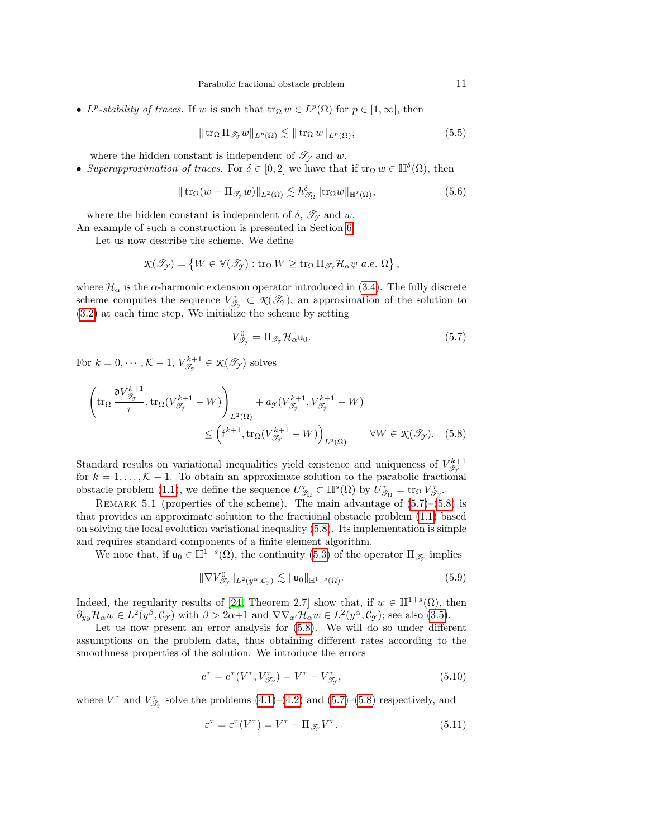• L<sup>p</sup>-stability of traces. If w is such that  $\text{tr}_{\Omega} w \in L^p(\Omega)$  for  $p \in [1, \infty]$ , then

<span id="page-10-5"></span>
$$
\|\operatorname{tr}_{\Omega} \Pi_{\mathscr{T}_{\mathcal{I}}} w\|_{L^p(\Omega)} \lesssim \|\operatorname{tr}_{\Omega} w\|_{L^p(\Omega)},\tag{5.5}
$$

where the hidden constant is independent of  $\mathscr{T}_{\gamma}$  and w.

• Superapproximation of traces. For  $\delta \in [0,2]$  we have that if  $\text{tr}_{\Omega} w \in \mathbb{H}^{\delta}(\Omega)$ , then

<span id="page-10-6"></span>
$$
\|\operatorname{tr}_{\Omega}(w - \Pi_{\mathscr{T}_{\mathcal{I}}}w)\|_{L^{2}(\Omega)} \lesssim h_{\mathscr{T}_{\Omega}}^{\delta} \|\operatorname{tr}_{\Omega}w\|_{\mathbb{H}^{\delta}(\Omega)},\tag{5.6}
$$

where the hidden constant is independent of  $\delta$ ,  $\mathscr{T}_{\gamma}$  and w.

An example of such a construction is presented in Section [6.](#page-14-0)

Let us now describe the scheme. We define

$$
\mathcal{K}(\mathscr{T}_{\mathcal{F}}) = \left\{ W \in \mathbb{V}(\mathscr{T}_{\mathcal{F}}) : \text{tr}_{\Omega} W \ge \text{tr}_{\Omega} \Pi_{\mathscr{T}_{\mathcal{F}}} \mathcal{H}_{\alpha} \psi \ a.e. \ \Omega \right\},
$$

where  $\mathcal{H}_{\alpha}$  is the  $\alpha$ -harmonic extension operator introduced in [\(3.4\)](#page-6-1). The fully discrete scheme computes the sequence  $V_{\mathcal{T}_{\gamma}}^{\tau} \subset \mathcal{K}(\mathcal{I}_{\gamma})$ , an approximation of the solution to [\(3.2\)](#page-6-2) at each time step. We initialize the scheme by setting

<span id="page-10-1"></span><span id="page-10-0"></span>
$$
V_{\mathcal{J}_{\mathcal{I}}}^{0} = \Pi_{\mathcal{J}_{\mathcal{I}}} \mathcal{H}_{\alpha} \mathsf{u}_{0}. \tag{5.7}
$$

For  $k = 0, \dots, \mathcal{K} - 1, V^{k+1}_{\mathscr{T}_{\mathcal{T}}} \in \mathcal{K}(\mathscr{T}_{\mathcal{T}})$  solves

$$
\left(\operatorname{tr}_{\Omega} \frac{\partial V_{\mathcal{J}_{\mathcal{T}}}^{k+1}}{\tau}, \operatorname{tr}_{\Omega} (V_{\mathcal{J}_{\mathcal{T}}}^{k+1} - W) \right)_{L^{2}(\Omega)} + a_{\mathcal{T}} (V_{\mathcal{J}_{\mathcal{T}}}^{k+1}, V_{\mathcal{J}_{\mathcal{T}}}^{k+1} - W)
$$
  

$$
\leq \left(\mathbf{f}^{k+1}, \operatorname{tr}_{\Omega} (V_{\mathcal{J}_{\mathcal{T}}}^{k+1} - W) \right)_{L^{2}(\Omega)} \qquad \forall W \in \mathcal{K}(\mathcal{J}_{\mathcal{T}}). \quad (5.8)
$$

Standard results on variational inequalities yield existence and uniqueness of  $V_{\mathscr{T}_{\gamma}}^{k+1}$ for  $k = 1, ..., \mathcal{K} - 1$ . To obtain an approximate solution to the parabolic fractional obstacle problem [\(1.1\)](#page-0-0), we define the sequence  $U^{\tau}_{\mathscr{T}_{\Omega}} \subset \mathbb{H}^s(\Omega)$  by  $U^{\tau}_{\mathscr{T}_{\Omega}} = \text{tr}_{\Omega} V^{\tau}_{\mathscr{T}_{\Omega}}$ .

REMARK 5.1 (properties of the scheme). The main advantage of  $(5.7)$ – $(5.8)$  is that provides an approximate solution to the fractional obstacle problem [\(1.1\)](#page-0-0) based on solving the local evolution variational inequality [\(5.8\)](#page-10-1). Its implementation is simple and requires standard components of a finite element algorithm.

We note that, if  $u_0 \in \mathbb{H}^{1+s}(\Omega)$ , the continuity [\(5.3\)](#page-9-1) of the operator  $\Pi_{\mathscr{T}_{\mathscr{T}}}$  implies

<span id="page-10-2"></span>
$$
\|\nabla V_{\mathcal{T}_{\mathcal{I}}}\n\|_{L^2(y^{\alpha}, \mathcal{C}_{\mathcal{I}})} \lesssim \|\mathsf{u}_0\|_{\mathbb{H}^{1+s}(\Omega)}.
$$
\n
$$
(5.9)
$$

Indeed, the regularity results of [\[24,](#page-20-3) Theorem 2.7] show that, if  $w \in \mathbb{H}^{1+s}(\Omega)$ , then  $\partial_{yy} \mathcal{H}_{\alpha} w \in L^2(y^{\beta}, \mathcal{C}_{\gamma})$  with  $\beta > 2\alpha+1$  and  $\nabla \nabla_{x'} \mathcal{H}_{\alpha} w \in L^2(y^{\alpha}, \mathcal{C}_{\gamma})$ ; see also [\(3.5\)](#page-6-5).

Let us now present an error analysis for [\(5.8\)](#page-10-1). We will do so under different assumptions on the problem data, thus obtaining different rates according to the smoothness properties of the solution. We introduce the errors

<span id="page-10-3"></span>
$$
e^{\tau} = e^{\tau} (V^{\tau}, V^{\tau}_{\mathscr{T}_{\mathscr{T}}}) = V^{\tau} - V^{\tau}_{\mathscr{T}_{\mathscr{T}}}, \tag{5.10}
$$

where  $V^{\tau}$  and  $V^{\tau}_{\mathscr{T}_{\mathcal{T}}}$  solve the problems [\(4.1\)](#page-7-2)–[\(4.2\)](#page-7-1) and [\(5.7\)](#page-10-0)–[\(5.8\)](#page-10-1) respectively, and

<span id="page-10-4"></span>
$$
\varepsilon^{\tau} = \varepsilon^{\tau} (V^{\tau}) = V^{\tau} - \Pi_{\mathcal{S}_{\mathcal{Y}}} V^{\tau}.
$$
\n(5.11)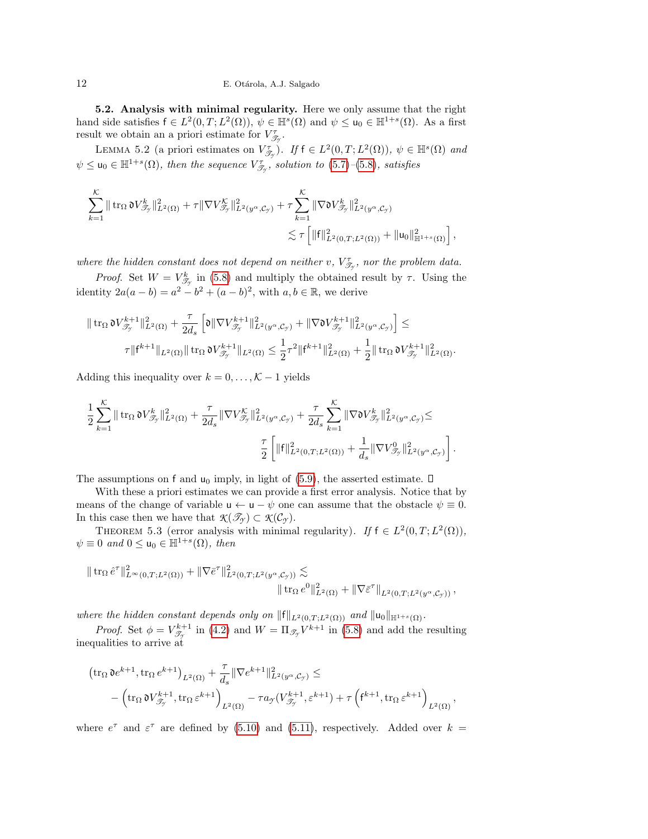12 E. Otárola, A.J. Salgado

<span id="page-11-1"></span>5.2. Analysis with minimal regularity. Here we only assume that the right hand side satisfies  $f \in L^2(0,T;L^2(\Omega))$ ,  $\psi \in \mathbb{H}^s(\Omega)$  and  $\psi \leq u_0 \in \mathbb{H}^{1+s}(\Omega)$ . As a first result we obtain an a priori estimate for  $V_{\mathcal{T}_{\mathcal{T}}}^{\tau}$ .

<span id="page-11-2"></span>LEMMA 5.2 (a priori estimates on  $V_{\mathcal{T}_{\gamma}}^{\tau}$ ). If  $f \in L^2(0,T;L^2(\Omega))$ ,  $\psi \in \mathbb{H}^s(\Omega)$  and  $\psi \leq u_0 \in \mathbb{H}^{1+s}(\Omega)$ , then the sequence  $V^{\tau}_{\mathscr{T}_{\mathscr{T}}}$ , solution to [\(5.7\)](#page-10-0)–[\(5.8\)](#page-10-1), satisfies

$$
\sum_{k=1}^{\mathcal{K}} \| \operatorname{tr}_{\Omega} \mathfrak{d} V_{\mathscr{T}_{\gamma}}^{k} \|_{L^{2}(\Omega)}^{2} + \tau \| \nabla V_{\mathscr{T}_{\gamma}}^{\mathcal{K}} \|_{L^{2}(y^{\alpha}, \mathcal{C}_{\gamma})}^{2} + \tau \sum_{k=1}^{\mathcal{K}} \| \nabla \mathfrak{d} V_{\mathscr{T}_{\gamma}}^{k} \|_{L^{2}(y^{\alpha}, \mathcal{C}_{\gamma})}^{2} \\ \lesssim \tau \left[ \| \mathfrak{f} \|_{L^{2}(0,T;L^{2}(\Omega))}^{2} + \| \mathfrak{u}_{0} \|_{\mathbb{H}^{1+s}(\Omega)}^{2} \right],
$$

where the hidden constant does not depend on neither  $v, V^{\tau}_{\mathscr{T}_{\mathcal{T}}}$ , nor the problem data.

*Proof.* Set  $W = V_{\mathcal{T}_{\gamma}}^{k}$  in [\(5.8\)](#page-10-1) and multiply the obtained result by  $\tau$ . Using the identity  $2a(a - b) = a^2 - b^2 + (a - b)^2$ , with  $a, b \in \mathbb{R}$ , we derive

$$
\begin{aligned}\|\operatorname{tr}_\Omega \mathfrak{d} V^{k+1}_{\mathscr{T}_{\mathcal{T}}}\|^2_{L^2(\Omega)}&+\frac{\tau}{2d_s}\left[\mathfrak{d} \|\nabla V^{k+1}_{\mathscr{T}_{\mathcal{T}}}\|^2_{L^2(y^\alpha,\mathcal{C}_{\mathcal{T}})} +\|\nabla \mathfrak{d} V^{k+1}_{\mathscr{T}_{\mathcal{T}}}\|^2_{L^2(y^\alpha,\mathcal{C}_{\mathcal{T}})}\right] \leq\\&\tau\| \mathsf{f}^{k+1}\|_{L^2(\Omega)} \|\operatorname{tr}_\Omega \mathfrak{d} V^{k+1}_{\mathscr{T}_{\mathcal{T}}}\|_{L^2(\Omega)} \leq \frac{1}{2}\tau^2\| \mathsf{f}^{k+1}\|^2_{L^2(\Omega)} + \frac{1}{2}\|\operatorname{tr}_\Omega \mathfrak{d} V^{k+1}_{\mathscr{T}_{\mathcal{T}}}\|^2_{L^2(\Omega)}.\end{aligned}
$$

Adding this inequality over  $k = 0, \ldots, K - 1$  yields

$$
\frac{1}{2} \sum_{k=1}^{K} \| \operatorname{tr}_{\Omega} \mathfrak{d} V_{\mathscr{T}_{\mathcal{T}}}^{k} \|_{L^{2}(\Omega)}^{2} + \frac{\tau}{2d_{s}} \| \nabla V_{\mathscr{T}_{\mathcal{T}}}^{K} \|_{L^{2}(y^{\alpha}, \mathcal{C}_{\mathcal{T}})}^{2} + \frac{\tau}{2d_{s}} \sum_{k=1}^{K} \| \nabla \mathfrak{d} V_{\mathscr{T}_{\mathcal{T}}}^{k} \|_{L^{2}(y^{\alpha}, \mathcal{C}_{\mathcal{T}})}^{2} \leq \frac{\tau}{2} \left[ \| f \|_{L^{2}(0, T; L^{2}(\Omega))}^{2} + \frac{1}{d_{s}} \| \nabla V_{\mathscr{T}_{\mathcal{T}}}^{0} \|_{L^{2}(y^{\alpha}, \mathcal{C}_{\mathcal{T}})}^{2} \right].
$$

The assumptions on f and  $u_0$  imply, in light of [\(5.9\)](#page-10-2), the asserted estimate.  $\Box$ 

With these a priori estimates we can provide a first error analysis. Notice that by means of the change of variable  $u \leftarrow u - \psi$  one can assume that the obstacle  $\psi \equiv 0$ . In this case then we have that  $\mathcal{K}(\mathcal{I}_{\mathcal{I}}) \subset \mathcal{K}(\mathcal{C}_{\mathcal{I}})$ .

<span id="page-11-0"></span>THEOREM 5.3 (error analysis with minimal regularity). If  $f \in L^2(0,T; L^2(\Omega)),$  $\psi \equiv 0$  and  $0 \le u_0 \in \mathbb{H}^{1+s}(\Omega)$ , then

$$
\| \operatorname{tr}_{\Omega} \hat{e}^{\tau} \|_{L^{\infty}(0,T;L^{2}(\Omega))}^{2} + \| \nabla \bar{e}^{\tau} \|_{L^{2}(0,T;L^{2}(y^{\alpha}, \mathcal{C}_{\mathcal{I}}))}^{2} \lesssim \| \operatorname{tr}_{\Omega} e^{0} \|_{L^{2}(\Omega)}^{2} + \| \nabla \bar{\varepsilon}^{\tau} \|_{L^{2}(0,T;L^{2}(y^{\alpha}, \mathcal{C}_{\mathcal{I}}))},
$$

where the hidden constant depends only on  $||f||_{L^2(0,T;L^2(\Omega))}$  and  $||u_0||_{\mathbb{H}^{1+s}(\Omega)}$ .

*Proof.* Set  $\phi = V_{\mathscr{T}_{\mathscr{T}}}^{k+1}$  in [\(4.2\)](#page-7-1) and  $W = \Pi_{\mathscr{T}_{\mathscr{T}}} V^{k+1}$  in [\(5.8\)](#page-10-1) and add the resulting inequalities to arrive at

$$
\begin{aligned} &\left(\operatorname{tr}_\Omega \mathfrak{d} e^{k+1}, \operatorname{tr}_\Omega e^{k+1}\right)_{L^2(\Omega)} + \frac{\tau}{d_s}\|\nabla e^{k+1}\|_{L^2(y^\alpha,\mathcal{C}_\mathcal{T})}^2 \leq \\ &\quad - \left(\operatorname{tr}_\Omega \mathfrak{d} V_{\mathcal{T}^*}^{k+1}, \operatorname{tr}_\Omega \varepsilon^{k+1}\right)_{L^2(\Omega)} - \tau a_\mathcal{T}(V_{\mathcal{T}^*}^{k+1},\varepsilon^{k+1}) + \tau \left(\mathsf{f}^{k+1}, \operatorname{tr}_\Omega \varepsilon^{k+1}\right)_{L^2(\Omega)}, \end{aligned}
$$

where  $e^{\tau}$  and  $\varepsilon^{\tau}$  are defined by [\(5.10\)](#page-10-3) and [\(5.11\)](#page-10-4), respectively. Added over  $k =$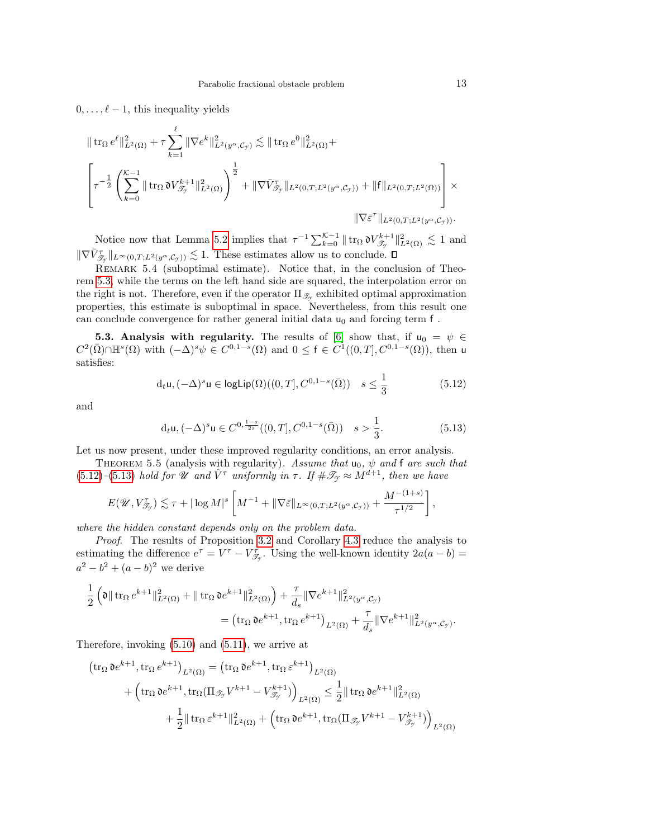$0, \ldots, \ell - 1$ , this inequality yields

$$
\| \operatorname{tr}_{\Omega} e^{\ell} \|_{L^{2}(\Omega)}^{2} + \tau \sum_{k=1}^{\ell} \| \nabla e^{k} \|_{L^{2}(y^{\alpha}, \mathcal{C}_{\mathcal{I}})}^{2} \lesssim \| \operatorname{tr}_{\Omega} e^{0} \|_{L^{2}(\Omega)}^{2} +
$$
  

$$
\left[ \tau^{-\frac{1}{2}} \left( \sum_{k=0}^{\mathcal{K}-1} \| \operatorname{tr}_{\Omega} \mathfrak{d} V_{\mathcal{J}_{\mathcal{I}}}^{k+1} \|_{L^{2}(\Omega)}^{2} \right)^{\frac{1}{2}} + \| \nabla \bar{V}_{\mathcal{J}_{\mathcal{I}}} \|_{L^{2}(0,T;L^{2}(y^{\alpha}, \mathcal{C}_{\mathcal{I}}))} + \| f \|_{L^{2}(0,T;L^{2}(\Omega))} \right] \times
$$
  

$$
\| \nabla \bar{\varepsilon}^{\tau} \|_{L^{2}(0,T;L^{2}(y^{\alpha}, \mathcal{C}_{\mathcal{I}}))}.
$$

Notice now that Lemma [5.2](#page-11-2) implies that  $\tau^{-1} \sum_{k=0}^{\mathcal{K}-1} || \text{tr}_{\Omega} \mathfrak{d} V_{\mathscr{T}_{\gamma}}^{k+1} ||_{L^2(\Omega)}^2 \lesssim 1$  and  $\|\nabla \bar{V}_{\mathscr{T}_{\mathcal{T}}}^{\tau}\|_{L^{\infty}(0,T;L^2(y^{\alpha}, \mathcal{C}_{\mathcal{T}}))} \lesssim 1.$  These estimates allow us to conclude.

REMARK 5.4 (suboptimal estimate). Notice that, in the conclusion of Theorem [5.3,](#page-11-0) while the terms on the left hand side are squared, the interpolation error on the right is not. Therefore, even if the operator  $\Pi_{\mathscr{T}_{\mathscr{T}}}$  exhibited optimal approximation properties, this estimate is suboptimal in space. Nevertheless, from this result one can conclude convergence for rather general initial data  $u_0$  and forcing term f.

<span id="page-12-1"></span>**5.3. Analysis with regularity.** The results of [\[6\]](#page-19-7) show that, if  $u_0 = \psi \in$  $C^2(\overline{\Omega}) \cap \mathbb{H}^s(\Omega)$  with  $(-\Delta)^s \psi \in C^{0,1-s}(\Omega)$  and  $0 \leq f \in C^1((0,T], C^{0,1-s}(\Omega))$ , then u satisfies:

<span id="page-12-2"></span>
$$
\mathrm{d}_{t}\mathsf{u}, (-\Delta)^{s}\mathsf{u} \in \mathsf{logLip}(\Omega)((0,T], C^{0,1-s}(\bar{\Omega})) \quad s \le \frac{1}{3} \tag{5.12}
$$

and

<span id="page-12-3"></span>
$$
d_t \mathsf{u}, (-\Delta)^s \mathsf{u} \in C^{0, \frac{1-s}{2s}}((0,T], C^{0,1-s}(\bar{\Omega})) \quad s > \frac{1}{3}.
$$
 (5.13)

Let us now present, under these improved regularity conditions, an error analysis.

<span id="page-12-0"></span>THEOREM 5.5 (analysis with regularity). Assume that  $u_0$ ,  $\psi$  and f are such that [\(5.12\)](#page-12-2)–[\(5.13\)](#page-12-3) hold for  $\mathscr U$  and  $\hat V^{\tau}$  uniformly in  $\tau$ . If  $\#\mathscr T_{\gamma} \approx \check M^{d+1}$ , then we have

$$
E(\mathscr{U}, V_{\mathscr{T}_{\mathscr{T}}}) \lesssim \tau + |\log M|^{s} \left[ M^{-1} + \|\nabla \bar{\varepsilon}\|_{L^{\infty}(0,T;L^{2}(y^{\alpha}, \mathcal{C}_{\mathscr{T}}))} + \frac{M^{-(1+s)}}{\tau^{1/2}} \right],
$$

where the hidden constant depends only on the problem data.

Proof. The results of Proposition [3.2](#page-6-0) and Corollary [4.3](#page-8-1) reduce the analysis to estimating the difference  $e^{\tau} = V^{\tau} - V^{\tau}_{\mathscr{T}_{\mathscr{T}}}$ . Using the well-known identity  $2a(a - b) =$  $a^2 - b^2 + (a - b)^2$  we derive

$$
\frac{1}{2} \left( \mathfrak{d} \|\operatorname{tr}_{\Omega} e^{k+1} \|_{L^2(\Omega)}^2 + \|\operatorname{tr}_{\Omega} \mathfrak{d} e^{k+1} \|_{L^2(\Omega)}^2 \right) + \frac{\tau}{d_s} \|\nabla e^{k+1} \|_{L^2(y^{\alpha}, \mathcal{C}_{\mathcal{I}})}^2
$$
\n
$$
= \left( \operatorname{tr}_{\Omega} \mathfrak{d} e^{k+1}, \operatorname{tr}_{\Omega} e^{k+1} \right)_{L^2(\Omega)} + \frac{\tau}{d_s} \|\nabla e^{k+1} \|_{L^2(y^{\alpha}, \mathcal{C}_{\mathcal{I}})}^2.
$$

Therefore, invoking [\(5.10\)](#page-10-3) and [\(5.11\)](#page-10-4), we arrive at

$$
\begin{aligned} \left(\operatorname{tr}_{\Omega} \mathfrak{d}e^{k+1}, \operatorname{tr}_{\Omega} e^{k+1}\right)_{L^{2}(\Omega)} &= \left(\operatorname{tr}_{\Omega} \mathfrak{d}e^{k+1}, \operatorname{tr}_{\Omega} \varepsilon^{k+1}\right)_{L^{2}(\Omega)} \\ &+ \left(\operatorname{tr}_{\Omega} \mathfrak{d}e^{k+1}, \operatorname{tr}_{\Omega} (\Pi_{\mathscr{T}_{\mathcal{T}}} V^{k+1} - V^{k+1}_{\mathscr{T}_{\mathcal{T}}})\right)_{L^{2}(\Omega)} \leq \frac{1}{2} \|\operatorname{tr}_{\Omega} \mathfrak{d}e^{k+1}\|_{L^{2}(\Omega)}^{2} \\ &+ \frac{1}{2} \|\operatorname{tr}_{\Omega} \varepsilon^{k+1}\|_{L^{2}(\Omega)}^{2} + \left(\operatorname{tr}_{\Omega} \mathfrak{d}e^{k+1}, \operatorname{tr}_{\Omega} (\Pi_{\mathscr{T}_{\mathcal{T}}} V^{k+1} - V^{k+1}_{\mathscr{T}_{\mathcal{T}}})\right)_{L^{2}(\Omega)} \end{aligned}
$$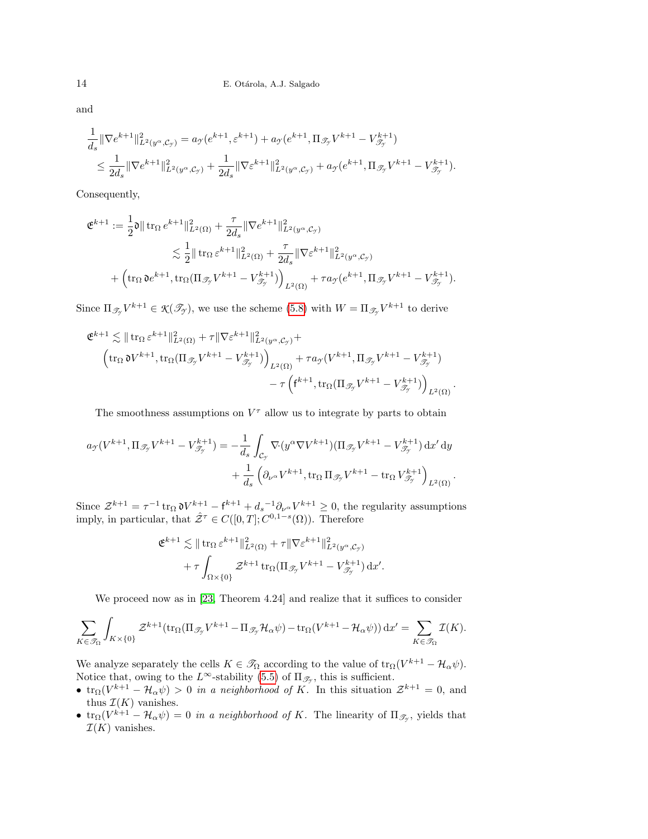and

$$
\begin{aligned} &\frac{1}{d_s}\|\nabla e^{k+1}\|^2_{L^2(y^\alpha, \mathcal{C}_{\mathcal{Y}})}=a_{\mathcal{Y}}(e^{k+1}, \varepsilon^{k+1})+a_{\mathcal{Y}}(e^{k+1}, \Pi_{\mathscr{T}_{\mathcal{Y}}}V^{k+1}-V^{k+1}_{\mathscr{T}_{\mathcal{Y}}})\\ &\leq \frac{1}{2d_s}\|\nabla e^{k+1}\|^2_{L^2(y^\alpha, \mathcal{C}_{\mathcal{Y}})}+\frac{1}{2d_s}\|\nabla \varepsilon^{k+1}\|^2_{L^2(y^\alpha, \mathcal{C}_{\mathcal{Y}})}+a_{\mathcal{Y}}(e^{k+1}, \Pi_{\mathscr{T}_{\mathcal{Y}}}V^{k+1}-V^{k+1}_{\mathscr{T}_{\mathcal{Y}}}). \end{aligned}
$$

Consequently,

$$
\begin{split} \mathfrak{E}^{k+1} &:= \frac{1}{2} \mathfrak{d} \|\operatorname{tr}_\Omega e^{k+1}\|_{L^2(\Omega)}^2 + \frac{\tau}{2d_s} \|\nabla e^{k+1}\|_{L^2(y^\alpha, \mathcal{C}_{\mathcal{Y}})}^2 \\ &\lesssim \frac{1}{2} \|\operatorname{tr}_\Omega e^{k+1}\|_{L^2(\Omega)}^2 + \frac{\tau}{2d_s} \|\nabla \varepsilon^{k+1}\|_{L^2(y^\alpha, \mathcal{C}_{\mathcal{Y}})}^2 \\ &+ \left(\operatorname{tr}_\Omega \mathfrak{d} e^{k+1}, \operatorname{tr}_\Omega (\Pi_{\mathscr{T}_{\mathcal{Y}}} V^{k+1} - V^{k+1}_{\mathscr{T}_{\mathcal{Y}}})\right)_{L^2(\Omega)} + \tau a_{\mathcal{Y}}(e^{k+1}, \Pi_{\mathscr{T}_{\mathcal{Y}}} V^{k+1} - V^{k+1}_{\mathscr{T}_{\mathcal{Y}}} ). \end{split}
$$

Since  $\Pi_{\mathscr{T}_{\mathscr{T}}} V^{k+1} \in \mathfrak{K}(\mathscr{T}_{\mathscr{T}})$ , we use the scheme [\(5.8\)](#page-10-1) with  $W = \Pi_{\mathscr{T}_{\mathscr{T}}} V^{k+1}$  to derive

$$
\mathfrak{E}^{k+1} \lesssim \|\operatorname{tr}_{\Omega} \varepsilon^{k+1}\|_{L^2(\Omega)}^2 + \tau \|\nabla \varepsilon^{k+1}\|_{L^2(y^\alpha, \mathcal{C}_{\mathcal{Y}})}^2 + \left(\operatorname{tr}_{\Omega} \mathfrak{d} V^{k+1}, \operatorname{tr}_{\Omega} (\Pi_{\mathcal{I}_{\mathcal{Y}}} V^{k+1} - V^{k+1}_{\mathcal{I}_{\mathcal{Y}}})\right)_{L^2(\Omega)} + \tau a_{\mathcal{Y}} (V^{k+1}, \Pi_{\mathcal{I}_{\mathcal{Y}}} V^{k+1} - V^{k+1}_{\mathcal{I}_{\mathcal{Y}}} ) - \tau \left(f^{k+1}, \operatorname{tr}_{\Omega} (\Pi_{\mathcal{I}_{\mathcal{Y}}} V^{k+1} - V^{k+1}_{\mathcal{I}_{\mathcal{Y}}} )\right)_{L^2(\Omega)}.
$$

The smoothness assumptions on  $V^{\tau}$  allow us to integrate by parts to obtain

$$
a_{\mathcal{I}}(V^{k+1}, \Pi_{\mathscr{T}_{\mathcal{I}}} V^{k+1} - V^{k+1}_{\mathscr{T}_{\mathcal{I}}} ) = -\frac{1}{d_{s}} \int_{\mathcal{C}_{\mathcal{I}}} \nabla (y^{\alpha} \nabla V^{k+1}) (\Pi_{\mathscr{T}_{\mathcal{I}}} V^{k+1} - V^{k+1}_{\mathscr{T}_{\mathcal{I}}} ) dx' dy + \frac{1}{d_{s}} \left( \partial_{\nu^{\alpha}} V^{k+1}, \text{tr}_{\Omega} \Pi_{\mathscr{T}_{\mathcal{I}}} V^{k+1} - \text{tr}_{\Omega} V^{k+1}_{\mathscr{T}_{\mathcal{I}}} \right)_{L^{2}(\Omega)}.
$$

Since  $\mathcal{Z}^{k+1} = \tau^{-1} \operatorname{tr}_{\Omega} \mathfrak{d} V^{k+1} - \mathfrak{f}^{k+1} + d_s^{-1} \partial_{\nu^{\alpha}} V^{k+1} \geq 0$ , the regularity assumptions imply, in particular, that  $\hat{\mathcal{Z}}^{\tau} \in C([0,T]; C^{0,1-s}(\Omega))$ . Therefore

$$
\mathfrak{E}^{k+1} \lesssim \|\operatorname{tr}_{\Omega} \varepsilon^{k+1}\|_{L^2(\Omega)}^2 + \tau \|\nabla \varepsilon^{k+1}\|_{L^2(y^\alpha, \mathcal{C}_{\mathcal{Y}})}^2 + \tau \int_{\Omega \times \{0\}} \mathcal{Z}^{k+1} \operatorname{tr}_{\Omega}(\Pi_{\mathscr{T}_{\mathcal{Y}}} V^{k+1} - V^{k+1}_{\mathscr{T}_{\mathcal{Y}}} ) \, \mathrm{d}x'.
$$

We proceed now as in [\[23,](#page-20-5) Theorem 4.24] and realize that it suffices to consider

$$
\sum_{K\in\mathscr{T}_{\Omega}}\int_{K\times\{0\}}\mathcal{Z}^{k+1}(\mathrm{tr}_{\Omega}(\Pi_{\mathscr{T}_{\mathcal{Y}}}V^{k+1}-\Pi_{\mathscr{T}_{\mathcal{Y}}}\mathcal{H}_{\alpha}\psi)-\mathrm{tr}_{\Omega}(V^{k+1}-\mathcal{H}_{\alpha}\psi))\,\mathrm{d}x'=\sum_{K\in\mathscr{T}_{\Omega}}\mathcal{I}(K).
$$

We analyze separately the cells  $K \in \mathscr{T}_{\Omega}$  according to the value of  $\text{tr}_{\Omega}(V^{k+1} - \mathcal{H}_{\alpha}\psi)$ . Notice that, owing to the  $L^{\infty}$ -stability [\(5.5\)](#page-10-5) of  $\Pi_{\mathscr{T}_{\mathscr{T}}}$ , this is sufficient.

- $\text{tr}_{\Omega}(V^{k+1} \mathcal{H}_{\alpha}\psi) > 0$  in a neighborhood of K. In this situation  $\mathcal{Z}^{k+1} = 0$ , and thus  $\mathcal{I}(K)$  vanishes.
- $\text{tr}_{\Omega}(V^{k+1} \mathcal{H}_{\alpha}\psi) = 0$  in a neighborhood of K. The linearity of  $\Pi_{\mathscr{T}_{\mathcal{F}}}$ , yields that  $\mathcal{I}(K)$  vanishes.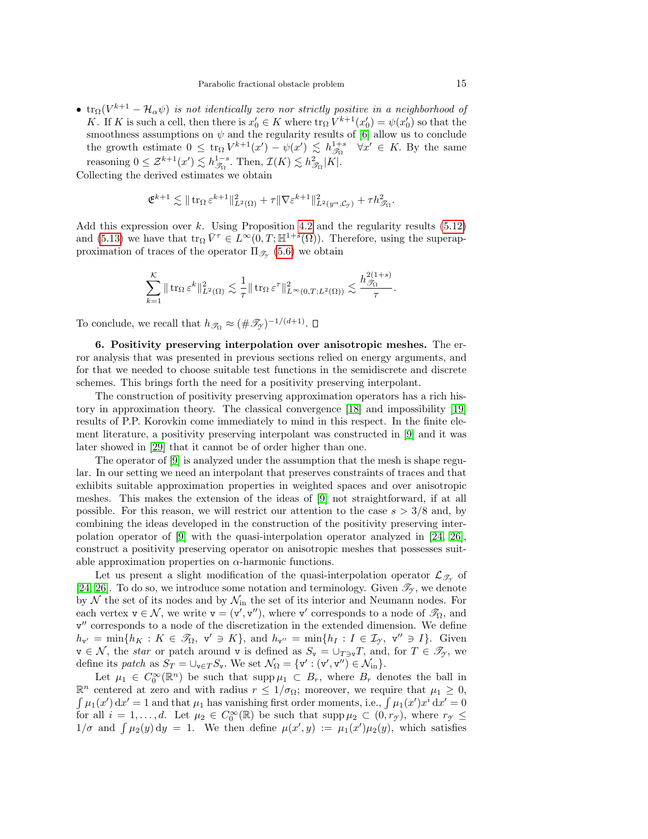•  $\text{tr}_{\Omega}(V^{k+1}-\mathcal{H}_{\alpha}\psi)$  is not identically zero nor strictly positive in a neighborhood of K. If K is such a cell, then there is  $x'_0 \in K$  where  $\text{tr}_{\Omega} V^{k+1}(x'_0) = \psi(x'_0)$  so that the smoothness assumptions on  $\psi$  and the regularity results of [\[6\]](#page-19-7) allow us to conclude the growth estimate  $0 \leq \text{tr}_{\Omega} V^{k+1}(x') - \psi(x') \leq h^{1+s}_{\mathcal{S}_{\Omega}} \quad \forall x' \in K$ . By the same reasoning  $0 \leq \mathcal{Z}^{k+1}(x') \lesssim h_{\mathcal{S}_\Omega}^{1-s}$ . Then,  $\mathcal{I}(K) \lesssim h_{\mathcal{S}_\Omega}^2 |K|$ .

Collecting the derived estimates we obtain

$$
\mathfrak{E}^{k+1} \lesssim \|\operatorname{tr}_{\Omega} \varepsilon^{k+1}\|_{L^2(\Omega)}^2 + \tau \|\nabla \varepsilon^{k+1}\|_{L^2(y^\alpha, \mathcal{C}_{\gamma})}^2 + \tau h_{\mathcal{J}_{\Omega}}^2.
$$

Add this expression over k. Using Proposition [4.2](#page-7-4) and the regularity results  $(5.12)$ and [\(5.13\)](#page-12-3) we have that  $\text{tr}_{\Omega} \overline{V}^{\tau} \in L^{\infty}(0,T;\mathbb{H}^{1+s}(\Omega))$ . Therefore, using the superapproximation of traces of the operator  $\Pi_{\mathscr{T}_{\mathscr{I}}}\$  [\(5.6\)](#page-10-6) we obtain

$$
\sum_{k=1}^{\mathcal{K}} \|\operatorname{tr}_{\Omega} \varepsilon^k\|_{L^2(\Omega)}^2 \lesssim \frac{1}{\tau} \|\operatorname{tr}_{\Omega} \varepsilon^{\tau}\|_{L^{\infty}(0,T;L^2(\Omega))}^2 \lesssim \frac{h_{\mathcal{J}_{\Omega}}^{2(1+s)}}{\tau}.
$$

To conclude, we recall that  $h_{\mathscr{T}_{\Omega}} \approx (\#\mathscr{T}_{\mathscr{T}})^{-1/(d+1)}$ .

<span id="page-14-0"></span>6. Positivity preserving interpolation over anisotropic meshes. The error analysis that was presented in previous sections relied on energy arguments, and for that we needed to choose suitable test functions in the semidiscrete and discrete schemes. This brings forth the need for a positivity preserving interpolant.

The construction of positivity preserving approximation operators has a rich history in approximation theory. The classical convergence [\[18\]](#page-19-17) and impossibility [\[19\]](#page-19-18) results of P.P. Korovkin come immediately to mind in this respect. In the finite element literature, a positivity preserving interpolant was constructed in [\[9\]](#page-19-19) and it was later showed in [\[29\]](#page-20-11) that it cannot be of order higher than one.

The operator of [\[9\]](#page-19-19) is analyzed under the assumption that the mesh is shape regular. In our setting we need an interpolant that preserves constraints of traces and that exhibits suitable approximation properties in weighted spaces and over anisotropic meshes. This makes the extension of the ideas of [\[9\]](#page-19-19) not straightforward, if at all possible. For this reason, we will restrict our attention to the case  $s > 3/8$  and, by combining the ideas developed in the construction of the positivity preserving interpolation operator of [\[9\]](#page-19-19) with the quasi-interpolation operator analyzed in [\[24,](#page-20-3) [26\]](#page-20-10), construct a positivity preserving operator on anisotropic meshes that possesses suitable approximation properties on  $\alpha$ -harmonic functions.

Let us present a slight modification of the quasi-interpolation operator  $\mathcal{L}_{\mathscr{T}_{\gamma}}$  of [\[24,](#page-20-3) [26\]](#page-20-10). To do so, we introduce some notation and terminology. Given  $\mathcal{T}_{\gamma}$ , we denote by  $\mathcal N$  the set of its nodes and by  $\mathcal N_{\rm in}$  the set of its interior and Neumann nodes. For each vertex  $v \in \mathcal{N}$ , we write  $v = (v', v'')$ , where v' corresponds to a node of  $\mathcal{T}_{\Omega}$ , and v" corresponds to a node of the discretization in the extended dimension. We define  $h_{\mathbf{v}'} = \min\{h_K : K \in \mathscr{T}_{\Omega}, \mathbf{v}' \ni K\},\$  and  $h_{\mathbf{v}''} = \min\{h_I : I \in \mathcal{I}_{\mathcal{T}}, \mathbf{v}'' \ni I\}.$  Given  $v \in \mathcal{N}$ , the *star* or patch around v is defined as  $S_v = \bigcup_{T \ni v} T$ , and, for  $T \in \mathcal{T}_{\gamma}$ , we define its patch as  $S_T = \bigcup_{\mathbf{v} \in T} S_{\mathbf{v}}$ . We set  $\mathcal{N}_{\Omega} = \{ \mathbf{v}' : (\mathbf{v}', \mathbf{v}'') \in \mathcal{N}_{\text{in}} \}.$ 

Let  $\mu_1 \in C_0^{\infty}(\mathbb{R}^n)$  be such that supp $\mu_1 \subset B_r$ , where  $B_r$  denotes the ball in  $\mathbb{R}^n$  centered at zero and with radius  $r \leq 1/\sigma_{\Omega}$ ; moreover, we require that  $\mu_1 \geq 0$ ,  $\int \mu_1(x') dx' = 1$  and that  $\mu_1$  has vanishing first order moments, i.e.,  $\int \mu_1(x')x^i dx' = 0$ for all  $i = 1, \ldots, d$ . Let  $\mu_2 \in C_0^{\infty}(\mathbb{R})$  be such that supp  $\mu_2 \subset (0, r_g)$ , where  $r_g \leq$  $1/\sigma$  and  $\int \mu_2(y) dy = 1$ . We then define  $\mu(x', y) := \mu_1(x')\mu_2(y)$ , which satisfies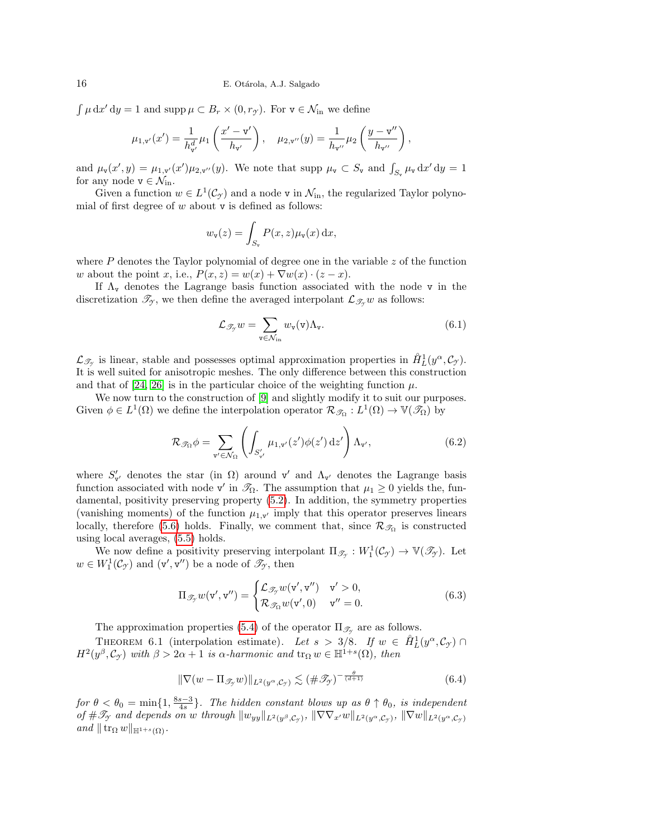$\int \mu \, dx' \, dy = 1$  and supp  $\mu \subset B_r \times (0, r_{\mathcal{T}})$ . For  $v \in \mathcal{N}_{\text{in}}$  we define

$$
\mu_{1,v'}(x') = \frac{1}{h_{v'}^d} \mu_1\left(\frac{x'-v'}{h_{v'}}\right), \quad \mu_{2,v''}(y) = \frac{1}{h_{v''}} \mu_2\left(\frac{y-v''}{h_{v''}}\right),\,
$$

and  $\mu_{\mathbf{v}}(x', y) = \mu_{1, \mathbf{v}'}(x') \mu_{2, \mathbf{v}''}(y)$ . We note that supp  $\mu_{\mathbf{v}} \subset S_{\mathbf{v}}$  and  $\int_{S_{\mathbf{v}}} \mu_{\mathbf{v}} d x' dy = 1$ for any node  $v \in \mathcal{N}_{\text{in}}$ .

Given a function  $w \in L^1(\mathcal{C}_{\mathcal{I}})$  and a node v in  $\mathcal{N}_{\text{in}}$ , the regularized Taylor polynomial of first degree of  $w$  about  $v$  is defined as follows:

$$
w_{\mathbf{v}}(z) = \int_{S_{\mathbf{v}}} P(x, z) \mu_{\mathbf{v}}(x) \, \mathrm{d}x,
$$

where  $P$  denotes the Taylor polynomial of degree one in the variable  $z$  of the function w about the point x, i.e.,  $P(x, z) = w(x) + \nabla w(x) \cdot (z - x)$ .

If  $\Lambda_{\rm v}$  denotes the Lagrange basis function associated with the node v in the discretization  $\mathcal{T}_{\gamma}$ , we then define the averaged interpolant  $\mathcal{L}_{\mathcal{T}_{\gamma}} w$  as follows:

<span id="page-15-0"></span>
$$
\mathcal{L}_{\mathscr{T}_{\mathcal{Y}}}w = \sum_{\mathbf{v} \in \mathcal{N}_{\text{in}}} w_{\mathbf{v}}(\mathbf{v}) \Lambda_{\mathbf{v}}.
$$
 (6.1)

 $\mathcal{L}_{\mathscr{T}_{\mathcal{I}}}$  is linear, stable and possesses optimal approximation properties in  $\hat{H}_L^1(y^\alpha, \mathcal{C}_{\mathcal{I}})$ . It is well suited for anisotropic meshes. The only difference between this construction and that of [\[24,](#page-20-3) [26\]](#page-20-10) is in the particular choice of the weighting function  $\mu$ .

We now turn to the construction of [\[9\]](#page-19-19) and slightly modify it to suit our purposes. Given  $\phi \in L^1(\Omega)$  we define the interpolation operator  $\mathcal{R}_{\mathscr{T}_\Omega}: L^1(\Omega) \to \mathbb{V}(\mathscr{T}_\Omega)$  by

<span id="page-15-2"></span>
$$
\mathcal{R}_{\mathscr{T}_{\Omega}} \phi = \sum_{\mathbf{v}' \in \mathcal{N}_{\Omega}} \left( \int_{S'_{\mathbf{v}'}} \mu_{1,\mathbf{v}'}(z') \phi(z') \,\mathrm{d} z' \right) \Lambda_{\mathbf{v}'},\tag{6.2}
$$

where  $S'_{\mathbf{v'}}$  denotes the star (in  $\Omega$ ) around  $\mathbf{v}'$  and  $\Lambda_{\mathbf{v}'}$  denotes the Lagrange basis function associated with node v' in  $\mathcal{R}_\Omega$ . The assumption that  $\mu_1 \geq 0$  yields the, fundamental, positivity preserving property [\(5.2\)](#page-9-2). In addition, the symmetry properties (vanishing moments) of the function  $\mu_{1,\mathbf{v}'}$  imply that this operator preserves linears locally, therefore [\(5.6\)](#page-10-6) holds. Finally, we comment that, since  $\mathcal{R}_{\mathscr{T}_{\Omega}}$  is constructed using local averages, [\(5.5\)](#page-10-5) holds.

We now define a positivity preserving interpolant  $\Pi_{\mathscr{T}_{\mathscr{T}}}: W_1^1(\mathcal{C}_{\mathscr{T}}) \to \mathbb{V}(\mathscr{T}_{\mathscr{T}})$ . Let  $w \in W_1^1(\mathcal{C}_{\mathcal{I}})$  and  $(v', v'')$  be a node of  $\mathcal{I}_{\mathcal{I}}$ , then

<span id="page-15-1"></span>
$$
\Pi_{\mathscr{T}_{\mathcal{F}}} w(\mathbf{v}', \mathbf{v}'') = \begin{cases} \mathcal{L}_{\mathscr{T}_{\mathcal{F}}} w(\mathbf{v}', \mathbf{v}'') & \mathbf{v}' > 0, \\ \mathcal{R}_{\mathscr{T}_{\Omega}} w(\mathbf{v}', 0) & \mathbf{v}'' = 0. \end{cases}
$$
(6.3)

The approximation properties [\(5.4\)](#page-9-3) of the operator  $\Pi_{\mathscr{T}_{\gamma}}$  are as follows.

<span id="page-15-4"></span>THEOREM 6.1 (interpolation estimate). Let  $s > 3/8$ . If  $w \in \hat{H}_L^1(y^\alpha, \mathcal{C}_{\mathcal{I}})$  $H^2(y^\beta, \mathcal{C}_{\mathcal{F}})$  with  $\beta > 2\alpha + 1$  is  $\alpha$ -harmonic and  $\text{tr}_{\Omega} w \in \mathbb{H}^{1+s}(\Omega)$ , then

<span id="page-15-3"></span>
$$
\|\nabla(w - \Pi_{\mathscr{T}_{\mathcal{I}}}w)\|_{L^2(y^{\alpha}, \mathcal{C}_{\mathcal{I}})} \lesssim (\#\mathscr{T}_{\mathcal{I}})^{-\frac{\theta}{(d+1)}}\tag{6.4}
$$

for  $\theta < \theta_0 = \min\{1, \frac{8s-3}{4s}\}\$ . The hidden constant blows up as  $\theta \uparrow \theta_0$ , is independent of  $\#\mathscr{T}_{\gamma}$  and depends on w through  $||w_{yy}||_{L^2(y^\beta,\mathcal{C}_{\gamma})}$ ,  $||\nabla \nabla_{x'}w||_{L^2(y^\alpha,\mathcal{C}_{\gamma})}$ ,  $||\nabla w||_{L^2(y^\alpha,\mathcal{C}_{\gamma})}$ and  $\|\operatorname{tr}_{\Omega} w\|_{\mathbb{H}^{1+s}(\Omega)}$ .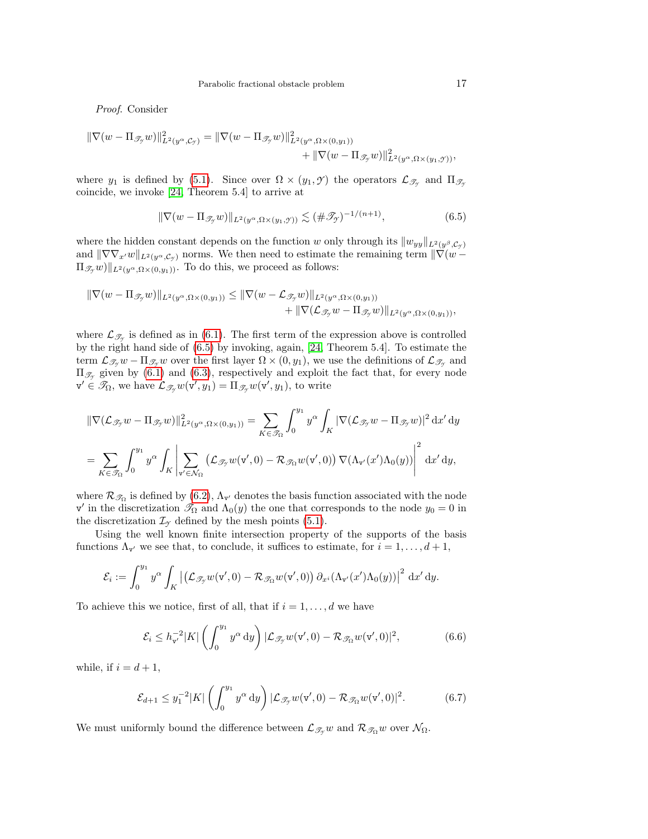Proof. Consider

$$
\begin{aligned} \|\nabla(w - \Pi_{\mathscr{T}_{\mathcal{T}}} w)\|_{L^2(y^{\alpha}, \mathcal{C}_{\mathcal{T}})}^2 &= \|\nabla(w - \Pi_{\mathscr{T}_{\mathcal{T}}} w)\|_{L^2(y^{\alpha}, \Omega \times (0, y_1))}^2 \\ &+ \|\nabla(w - \Pi_{\mathscr{T}_{\mathcal{T}}} w)\|_{L^2(y^{\alpha}, \Omega \times (y_1, \mathcal{T}))}^2, \end{aligned}
$$

where  $y_1$  is defined by [\(5.1\)](#page-9-0). Since over  $\Omega \times (y_1, \mathcal{Y})$  the operators  $\mathcal{L}_{\mathscr{T}_{\gamma}}$  and  $\Pi_{\mathscr{T}_{\gamma}}$ coincide, we invoke [\[24,](#page-20-3) Theorem 5.4] to arrive at

<span id="page-16-0"></span>
$$
\|\nabla(w - \Pi_{\mathcal{J}_y} w)\|_{L^2(y^{\alpha}, \Omega \times (y_1, \mathcal{Y}))} \lesssim (\#\mathcal{J}_y)^{-1/(n+1)},\tag{6.5}
$$

where the hidden constant depends on the function w only through its  $||w_{yy}||_{L^2(y^\beta, \mathcal{C}_\gamma)}$ and  $\|\nabla\nabla_{x'}w\|_{L^2(y^{\alpha},\mathcal{C}_{\gamma})}$  norms. We then need to estimate the remaining term  $\|\nabla(w \Pi_{\mathscr{T}_{\gamma}}(w)$ <sub>L<sup>2</sup>(y<sup>α</sup>, Ω×(0,y<sub>1</sub>)</sub>). To do this, we proceed as follows:

$$
\|\nabla(w - \Pi_{\mathscr{T}_{\mathcal{T}}} w)\|_{L^2(y^{\alpha}, \Omega \times (0, y_1))} \leq \|\nabla(w - \mathcal{L}_{\mathscr{T}_{\mathcal{T}}} w)\|_{L^2(y^{\alpha}, \Omega \times (0, y_1))} + \|\nabla(\mathcal{L}_{\mathscr{T}_{\mathcal{T}}} w - \Pi_{\mathscr{T}_{\mathcal{T}}} w)\|_{L^2(y^{\alpha}, \Omega \times (0, y_1))},
$$

where  $\mathcal{L}_{\mathscr{T}_{\mathcal{F}}}$  is defined as in [\(6.1\)](#page-15-0). The first term of the expression above is controlled by the right hand side of [\(6.5\)](#page-16-0) by invoking, again, [\[24,](#page-20-3) Theorem 5.4]. To estimate the term  $\mathcal{L}_{\mathscr{T}_{\mathcal{I}}} w - \Pi_{\mathscr{T}_{\mathcal{I}}} w$  over the first layer  $\Omega \times (0, y_1)$ , we use the definitions of  $\mathcal{L}_{\mathscr{T}_{\mathcal{I}}}$  and  $\Pi_{\mathscr{T}_{\gamma}}$  given by [\(6.1\)](#page-15-0) and [\(6.3\)](#page-15-1), respectively and exploit the fact that, for every node  $\mathbf{v}' \in \mathscr{T}_{\Omega}$ , we have  $\mathcal{L}_{\mathscr{T}_{\mathcal{Y}}} w(\mathbf{v}', y_1) = \Pi_{\mathscr{T}_{\mathcal{Y}}} w(\mathbf{v}', y_1)$ , to write

$$
\begin{split} &\|\nabla (\mathcal{L}_{\mathscr{T}_{\mathcal{T}}} w - \Pi_{\mathscr{T}_{\mathcal{T}}} w)\|_{L^2(y^\alpha,\Omega\times(0,y_1))}^2 = \sum_{K\in\mathscr{T}_\Omega} \int_0^{y_1} y^\alpha \int_K |\nabla (\mathcal{L}_{\mathscr{T}_{\mathcal{T}}} w - \Pi_{\mathscr{T}_{\mathcal{T}}} w)|^2 \,\mathrm{d} x' \,\mathrm{d} y \\ &= \sum_{K\in\mathscr{T}_\Omega} \int_0^{y_1} y^\alpha \int_K \left|\sum_{\mathbf{v}'\in\mathcal{N}_\Omega} \left(\mathcal{L}_{\mathscr{T}_{\mathcal{T}}} w(\mathbf{v}',0) - \mathcal{R}_{\mathscr{T}_\Omega} w(\mathbf{v}',0)\right) \nabla (\Lambda_{\mathbf{v}'}(x')\Lambda_0(y))\right|^2 \,\mathrm{d} x' \,\mathrm{d} y, \end{split}
$$

where  $\mathcal{R}_{\mathscr{T}_{\Omega}}$  is defined by [\(6.2\)](#page-15-2),  $\Lambda_{\mathbf{v}'}$  denotes the basis function associated with the node v' in the discretization  $\mathcal{T}_{\Omega}$  and  $\Lambda_0(y)$  the one that corresponds to the node  $y_0 = 0$  in the discretization  $\mathcal{I}_{\gamma}$  defined by the mesh points [\(5.1\)](#page-9-0).

Using the well known finite intersection property of the supports of the basis functions  $\Lambda_{\mathbf{v}'}$  we see that, to conclude, it suffices to estimate, for  $i = 1, \ldots, d + 1$ ,

$$
\mathcal{E}_i := \int_0^{y_1} y^{\alpha} \int_K \left| \left( \mathcal{L}_{\mathscr{T}_{\mathcal{Y}}} w(\mathbf{v}', 0) - \mathcal{R}_{\mathscr{T}_{\Omega}} w(\mathbf{v}', 0) \right) \partial_{x_i} (\Lambda_{\mathbf{v}'}(x') \Lambda_0(y)) \right|^2 dx' dy.
$$

To achieve this we notice, first of all, that if  $i = 1, \ldots, d$  we have

<span id="page-16-1"></span>
$$
\mathcal{E}_i \le h_{\mathbf{v}'}^{-2} |K| \left( \int_0^{y_1} y^\alpha \, \mathrm{d}y \right) |\mathcal{L}_{\mathcal{T}_{\mathcal{Y}}} w(\mathbf{v}', 0) - \mathcal{R}_{\mathcal{T}_{\Omega}} w(\mathbf{v}', 0)|^2, \tag{6.6}
$$

while, if  $i = d + 1$ ,

<span id="page-16-2"></span>
$$
\mathcal{E}_{d+1} \le y_1^{-2}|K|\left(\int_0^{y_1} y^\alpha \, \mathrm{d}y\right)|\mathcal{L}_{\mathscr{T}_{\mathcal{I}}}w(\mathbf{v}',0) - \mathcal{R}_{\mathscr{T}_{\Omega}}w(\mathbf{v}',0)|^2. \tag{6.7}
$$

We must uniformly bound the difference between  $\mathcal{L}_{\mathcal{T}_{\gamma}} w$  and  $\mathcal{R}_{\mathcal{T}_{\Omega}} w$  over  $\mathcal{N}_{\Omega}$ .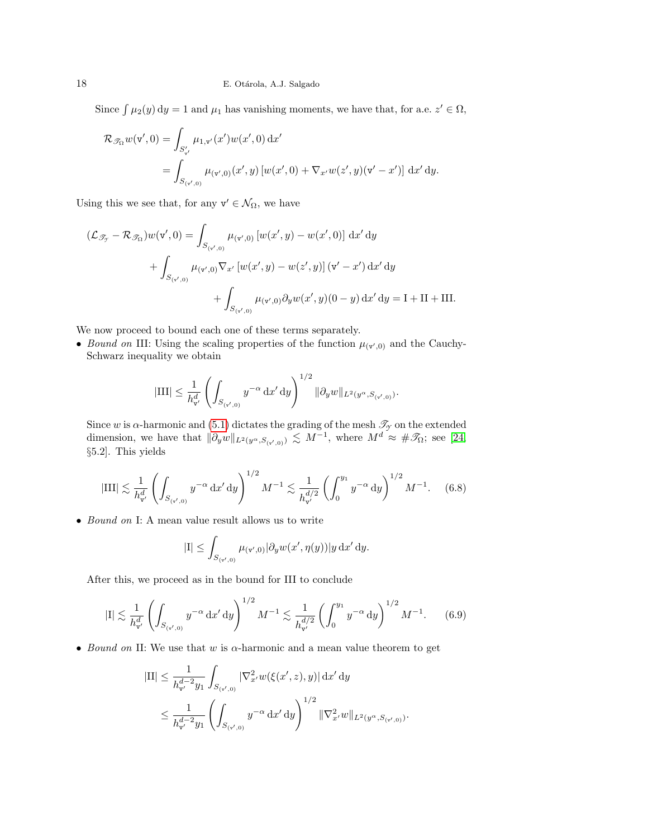Since  $\int \mu_2(y) dy = 1$  and  $\mu_1$  has vanishing moments, we have that, for a.e.  $z' \in \Omega$ ,

$$
\mathcal{R}_{\mathscr{T}_{\Omega}} w(\mathbf{v}', 0) = \int_{S'_{\mathbf{v}'}} \mu_{1, \mathbf{v}'}(x') w(x', 0) \, dx'
$$
  
= 
$$
\int_{S_{(\mathbf{v}', 0)}} \mu_{(\mathbf{v}', 0)}(x', y) \left[w(x', 0) + \nabla_{x'} w(z', y)(\mathbf{v}' - x')\right] dx' dy.
$$

Using this we see that, for any  $v' \in \mathcal{N}_{\Omega}$ , we have

$$
(\mathcal{L}_{\mathscr{T}_{\mathcal{T}}} - \mathcal{R}_{\mathscr{T}_{\Omega}})w(\mathbf{v}', 0) = \int_{S_{(\mathbf{v}',0)}} \mu_{(\mathbf{v}',0)} [w(x', y) - w(x', 0)] \, dx' \, dy
$$

$$
+ \int_{S_{(\mathbf{v}',0)}} \mu_{(\mathbf{v}',0)} \nabla_{x'} [w(x', y) - w(z', y)] (\mathbf{v}' - x') \, dx' \, dy
$$

$$
+ \int_{S_{(\mathbf{v}',0)}} \mu_{(\mathbf{v}',0)} \partial_y w(x', y) (0 - y) \, dx' \, dy = I + II + III.
$$

We now proceed to bound each one of these terms separately.

• Bound on III: Using the scaling properties of the function  $\mu_{(\mathbf{v}',0)}$  and the Cauchy-Schwarz inequality we obtain

$$
|\text{III}| \leq \frac{1}{h_{\mathsf{v}'}^d} \left( \int_{S_{(\mathsf{v}',0)}} y^{-\alpha} \, \mathrm{d} x' \, \mathrm{d} y \right)^{1/2} \| \partial_y w \|_{L^2(y^{\alpha}, S_{(\mathsf{v}',0)})}.
$$

Since w is  $\alpha$ -harmonic and [\(5.1\)](#page-9-0) dictates the grading of the mesh  $\mathscr{T}_{\gamma}$  on the extended dimension, we have that  $\|\partial_y w\|_{L^2(y^{\alpha}, S_{(y',0)})} \lesssim M^{-1}$ , where  $M^d \approx \# \mathscr{T}_{\Omega}$ ; see [\[24,](#page-20-3) §5.2]. This yields

<span id="page-17-0"></span>
$$
|\text{III}| \lesssim \frac{1}{h_{\mathbf{v}'}^d} \left( \int_{S_{(\mathbf{v}',0)}} y^{-\alpha} \, \mathrm{d}x' \, \mathrm{d}y \right)^{1/2} M^{-1} \lesssim \frac{1}{h_{\mathbf{v}'}^{d/2}} \left( \int_0^{y_1} y^{-\alpha} \, \mathrm{d}y \right)^{1/2} M^{-1}. \tag{6.8}
$$

• *Bound on* I: A mean value result allows us to write

$$
|\mathcal{I}| \leq \int_{S_{(\mathbf{v}',0)}} \mu_{(\mathbf{v}',0)} |\partial_y w(x',\eta(y))|y \,dx' \,dy.
$$

After this, we proceed as in the bound for III to conclude

$$
|\mathbf{I}| \lesssim \frac{1}{h_{\mathbf{v}'}^d} \left( \int_{S_{(\mathbf{v}',0)}} y^{-\alpha} \, \mathrm{d}x' \, \mathrm{d}y \right)^{1/2} M^{-1} \lesssim \frac{1}{h_{\mathbf{v}'}^{d/2}} \left( \int_0^{y_1} y^{-\alpha} \, \mathrm{d}y \right)^{1/2} M^{-1}.\tag{6.9}
$$

• Bound on II: We use that w is  $\alpha$ -harmonic and a mean value theorem to get

$$
\begin{aligned} |\mathrm{II}| &\leq \frac{1}{h_{\mathtt{v}'}^{d-2}y_1} \int_{S_{(\mathtt{v}',0)}} |\nabla^2_{x'} w(\xi(x',z),y)| \,\mathrm{d} x' \,\mathrm{d} y \\ &\leq \frac{1}{h_{\mathtt{v}'}^{d-2}y_1} \left(\int_{S_{(\mathtt{v}',0)}} y^{-\alpha} \,\mathrm{d} x' \,\mathrm{d} y\right)^{1/2} \|\nabla^2_{x'} w\|_{L^2(y^{\alpha},S_{(\mathtt{v}',0)})}. \end{aligned}
$$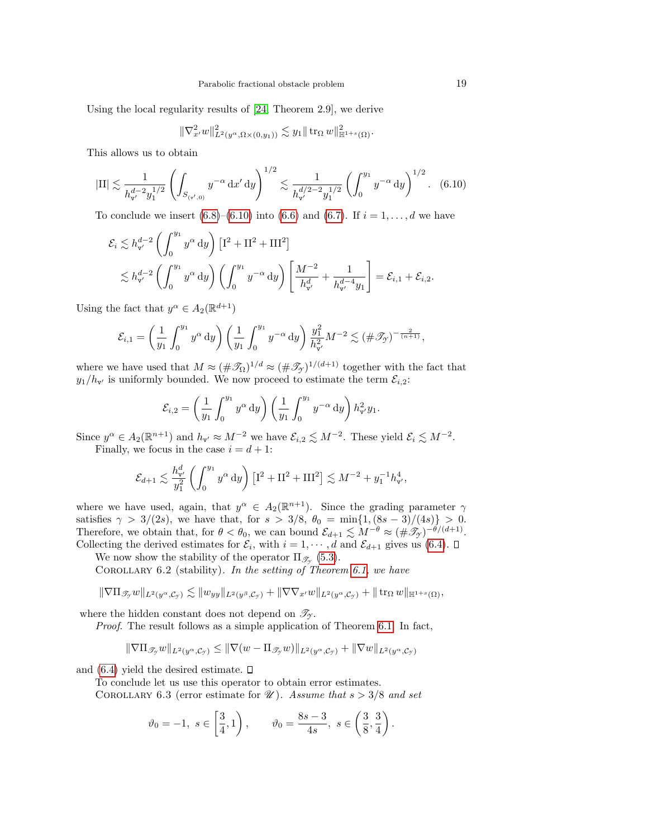Using the local regularity results of [\[24,](#page-20-3) Theorem 2.9], we derive

$$
\|\nabla_{x'}^2 w\|_{L^2(y^{\alpha}, \Omega \times (0,y_1))}^2 \lesssim y_1 \|\operatorname{tr}_{\Omega} w\|_{\mathbb{H}^{1+s}(\Omega)}^2.
$$

This allows us to obtain

<span id="page-18-0"></span>
$$
|\mathrm{II}| \lesssim \frac{1}{h_{\mathbf{v}'}^{d-2} y_1^{1/2}} \left( \int_{S_{(\mathbf{v}',0)}} y^{-\alpha} \, \mathrm{d}x' \, \mathrm{d}y \right)^{1/2} \lesssim \frac{1}{h_{\mathbf{v}'}^{d/2-2} y_1^{1/2}} \left( \int_0^{y_1} y^{-\alpha} \, \mathrm{d}y \right)^{1/2}. \tag{6.10}
$$

To conclude we insert  $(6.8)$ – $(6.10)$  into  $(6.6)$  and  $(6.7)$ . If  $i = 1, ..., d$  we have

$$
\mathcal{E}_{i} \lesssim h_{\mathbf{v}'}^{d-2} \left( \int_{0}^{y_{1}} y^{\alpha} dy \right) \left[ \mathbf{I}^{2} + \mathbf{II}^{2} + \mathbf{III}^{2} \right] \n\lesssim h_{\mathbf{v}'}^{d-2} \left( \int_{0}^{y_{1}} y^{\alpha} dy \right) \left( \int_{0}^{y_{1}} y^{-\alpha} dy \right) \left[ \frac{M^{-2}}{h_{\mathbf{v}'}^{d}} + \frac{1}{h_{\mathbf{v}'}^{d-4} y_{1}} \right] = \mathcal{E}_{i,1} + \mathcal{E}_{i,2}.
$$

Using the fact that  $y^{\alpha} \in A_2(\mathbb{R}^{d+1})$ 

$$
\mathcal{E}_{i,1} = \left(\frac{1}{y_1} \int_0^{y_1} y^{\alpha} dy\right) \left(\frac{1}{y_1} \int_0^{y_1} y^{-\alpha} dy\right) \frac{y_1^2}{h_{\mathbf{v}'}} M^{-2} \lesssim (\#\mathscr{T}_{\mathcal{Y}})^{-\frac{2}{(n+1)}},
$$

where we have used that  $M \approx (\# \mathcal{T}_{\Omega})^{1/d} \approx (\# \mathcal{T}_{\gamma})^{1/(d+1)}$  together with the fact that  $y_1/h_{\mathbf{v}'}$  is uniformly bounded. We now proceed to estimate the term  $\mathcal{E}_{i,2}$ :

$$
\mathcal{E}_{i,2} = \left(\frac{1}{y_1} \int_0^{y_1} y^{\alpha} dy\right) \left(\frac{1}{y_1} \int_0^{y_1} y^{-\alpha} dy\right) h_{\mathbf{v}'}^2 y_1.
$$

Since  $y^{\alpha} \in A_2(\mathbb{R}^{n+1})$  and  $h_{\mathbf{v}'} \approx M^{-2}$  we have  $\mathcal{E}_{i,2} \lesssim M^{-2}$ . These yield  $\mathcal{E}_i \lesssim M^{-2}$ . Finally, we focus in the case  $i = d + 1$ :

$$
\mathcal{E}_{d+1} \lesssim \frac{h_{\mathbf{v}'}^d}{y_1^2} \left( \int_0^{y_1} y^{\alpha} dy \right) \left[ \mathbf{I}^2 + \mathbf{II}^2 + \mathbf{III}^2 \right] \lesssim M^{-2} + y_1^{-1} h_{\mathbf{v}'}^4,
$$

where we have used, again, that  $y^{\alpha} \in A_2(\mathbb{R}^{n+1})$ . Since the grading parameter  $\gamma$ satisfies  $\gamma > 3/(2s)$ , we have that, for  $s > 3/8$ ,  $\theta_0 = \min\{1, (8s - 3)/(4s)\} > 0$ . Therefore, we obtain that, for  $\theta < \theta_0$ , we can bound  $\mathcal{E}_{d+1} \lesssim M^{-\theta} \approx (\#\mathscr{T}_{\mathcal{Y}})^{-\theta/(d+1)}$ . Collecting the derived estimates for  $\mathcal{E}_i$ , with  $i = 1, \dots, d$  and  $\mathcal{E}_{d+1}$  gives us [\(6.4\)](#page-15-3).

We now show the stability of the operator  $\Pi_{\mathscr{T}_{\mathscr{I}}}(5.3)$  $\Pi_{\mathscr{T}_{\mathscr{I}}}(5.3)$ .

COROLLARY  $6.2$  (stability). In the setting of Theorem  $6.1$ , we have

$$
\|\nabla \Pi_{\mathscr{T}_{\mathcal{T}}} w\|_{L^2(y^\alpha, \mathcal{C}_{\mathcal{T}})} \lesssim \|w_{yy}\|_{L^2(y^\beta, \mathcal{C}_{\mathcal{T}})} + \|\nabla \nabla_{x'} w\|_{L^2(y^\alpha, \mathcal{C}_{\mathcal{T}})} + \|\operatorname{tr}_\Omega w\|_{\mathbb{H}^{1+s}(\Omega)},
$$

where the hidden constant does not depend on  $\mathcal{T}_{\gamma}$ .

Proof. The result follows as a simple application of Theorem [6.1.](#page-15-4) In fact,

$$
\|\nabla\Pi_{\mathscr{T}_{\mathcal{T}}} w\|_{L^2(y^\alpha,\mathcal{C}_{\mathcal{T}})} \le \|\nabla(w - \Pi_{\mathscr{T}_{\mathcal{T}}} w)\|_{L^2(y^\alpha,\mathcal{C}_{\mathcal{T}})} + \|\nabla w\|_{L^2(y^\alpha,\mathcal{C}_{\mathcal{T}})}
$$

and  $(6.4)$  yield the desired estimate.  $\square$ 

<span id="page-18-1"></span>To conclude let us use this operator to obtain error estimates.

COROLLARY 6.3 (error estimate for  $\mathcal{U}$ ). Assume that  $s > 3/8$  and set

$$
\vartheta_0 = -1, s \in \left[\frac{3}{4}, 1\right), \qquad \vartheta_0 = \frac{8s - 3}{4s}, s \in \left(\frac{3}{8}, \frac{3}{4}\right).
$$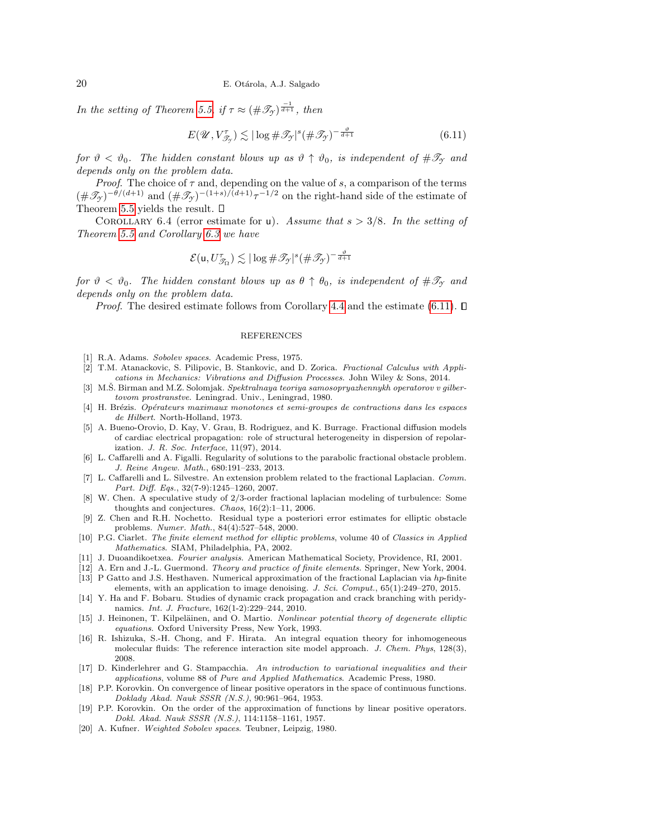In the setting of Theorem [5.5,](#page-12-0) if  $\tau \approx (\#\mathscr{T}_{\gamma})^{\frac{-1}{d+1}}$ , then

<span id="page-19-20"></span>
$$
E(\mathscr{U}, V_{\mathscr{T}_{\mathscr{I}}}) \lesssim |\log \#\mathscr{T}_{\mathscr{I}}|^{s} (\#\mathscr{T}_{\mathscr{I}})^{-\frac{\vartheta}{d+1}} \tag{6.11}
$$

for  $\vartheta < \vartheta_0$ . The hidden constant blows up as  $\vartheta \uparrow \vartheta_0$ , is independent of  $\#\mathcal{T}_{\gamma}$  and depends only on the problem data.

*Proof.* The choice of  $\tau$  and, depending on the value of s, a comparison of the terms  $(\#\mathscr{T}_{\gamma})^{-\theta/(d+1)}$  and  $(\#\mathscr{T}_{\gamma})^{-(1+s)/(d+1)}\tau^{-1/2}$  on the right-hand side of the estimate of Theorem [5.5](#page-12-0) yields the result.  $\square$ 

COROLLARY 6.4 (error estimate for u). Assume that  $s > 3/8$ . In the setting of Theorem [5.5](#page-12-0) and Corollary [6.3](#page-18-1) we have

$$
\mathcal{E}(\mathbf{u}, U_{\mathcal{T}_{\Omega}}^{\tau}) \lesssim |\log \#\mathcal{T}_{\mathcal{Y}}|^s (\#\mathcal{T}_{\mathcal{Y}})^{-\frac{\vartheta}{d+1}}
$$

for  $\vartheta < \vartheta_0$ . The hidden constant blows up as  $\theta \uparrow \theta_0$ , is independent of  $\#\mathcal{I}_\gamma$  and depends only on the problem data.

*Proof.* The desired estimate follows from Corollary [4.4](#page-8-4) and the estimate [\(6.11\)](#page-19-20).  $\Box$ 

#### REFERENCES

- <span id="page-19-8"></span>R.A. Adams. Sobolev spaces. Academic Press, 1975.
- <span id="page-19-0"></span>[2] T.M. Atanackovic, S. Pilipovic, B. Stankovic, and D. Zorica. Fractional Calculus with Applications in Mechanics: Vibrations and Diffusion Processes. John Wiley & Sons, 2014.
- <span id="page-19-12"></span>[3] M.S. Birman and M.Z. Solomjak. Spektralnaya teoriya samosopryazhennykh operatorov v gilbertovom prostranstve. Leningrad. Univ., Leningrad, 1980.
- <span id="page-19-11"></span>[4] H. Brézis. Opérateurs maximaux monotones et semi-groupes de contractions dans les espaces de Hilbert. North-Holland, 1973.
- <span id="page-19-1"></span>[5] A. Bueno-Orovio, D. Kay, V. Grau, B. Rodriguez, and K. Burrage. Fractional diffusion models of cardiac electrical propagation: role of structural heterogeneity in dispersion of repolarization. J. R. Soc. Interface, 11(97), 2014.
- <span id="page-19-7"></span>[6] L. Caffarelli and A. Figalli. Regularity of solutions to the parabolic fractional obstacle problem. J. Reine Angew. Math., 680:191–233, 2013.
- <span id="page-19-6"></span>[7] L. Caffarelli and L. Silvestre. An extension problem related to the fractional Laplacian. Comm. Part. Diff. Eqs., 32(7-9):1245–1260, 2007.
- <span id="page-19-2"></span>[8] W. Chen. A speculative study of 2/3-order fractional laplacian modeling of turbulence: Some thoughts and conjectures. Chaos,  $16(2):1-11$ , 2006.
- <span id="page-19-19"></span>[9] Z. Chen and R.H. Nochetto. Residual type a posteriori error estimates for elliptic obstacle problems. Numer. Math., 84(4):527–548, 2000.
- <span id="page-19-15"></span>[10] P.G. Ciarlet. The finite element method for elliptic problems, volume 40 of Classics in Applied Mathematics. SIAM, Philadelphia, PA, 2002.
- <span id="page-19-13"></span>[11] J. Duoandikoetxea. Fourier analysis. American Mathematical Society, Providence, RI, 2001.
- <span id="page-19-16"></span><span id="page-19-3"></span>[12] A. Ern and J.-L. Guermond. Theory and practice of finite elements. Springer, New York, 2004. [13] P Gatto and J.S. Hesthaven. Numerical approximation of the fractional Laplacian via hp-finite
- elements, with an application to image denoising. J. Sci. Comput., 65(1):249–270, 2015. [14] Y. Ha and F. Bobaru. Studies of dynamic crack propagation and crack branching with peridy-
- <span id="page-19-4"></span>namics. Int. J. Fracture, 162(1-2):229–244, 2010.
- <span id="page-19-9"></span>[15] J. Heinonen, T. Kilpeläinen, and O. Martio. Nonlinear potential theory of degenerate elliptic equations. Oxford University Press, New York, 1993.
- <span id="page-19-5"></span>[16] R. Ishizuka, S.-H. Chong, and F. Hirata. An integral equation theory for inhomogeneous molecular fluids: The reference interaction site model approach. J. Chem. Phys, 128(3), 2008.
- <span id="page-19-14"></span>[17] D. Kinderlehrer and G. Stampacchia. An introduction to variational inequalities and their applications, volume 88 of Pure and Applied Mathematics. Academic Press, 1980.
- <span id="page-19-17"></span>[18] P.P. Korovkin. On convergence of linear positive operators in the space of continuous functions. Doklady Akad. Nauk SSSR (N.S.), 90:961–964, 1953.
- <span id="page-19-18"></span>[19] P.P. Korovkin. On the order of the approximation of functions by linear positive operators. Dokl. Akad. Nauk SSSR (N.S.), 114:1158–1161, 1957.
- <span id="page-19-10"></span>[20] A. Kufner. Weighted Sobolev spaces. Teubner, Leipzig, 1980.